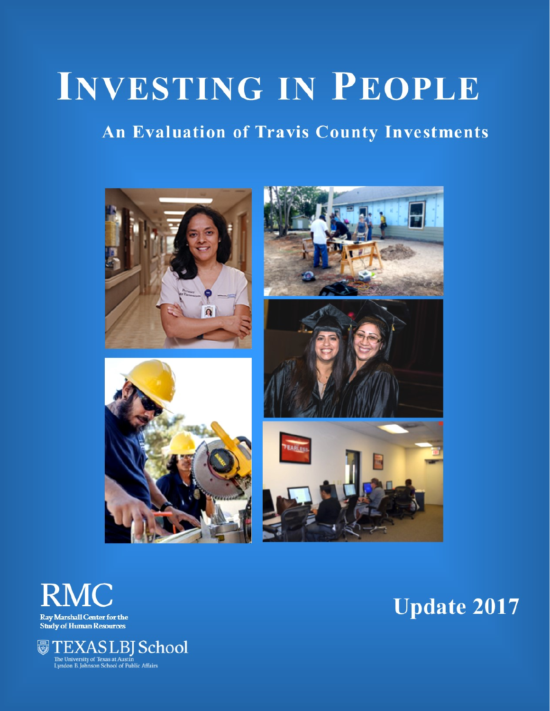# **INVESTING IN PEOPLE**

## **An Evaluation of Travis County Investments**







## **Update 2017**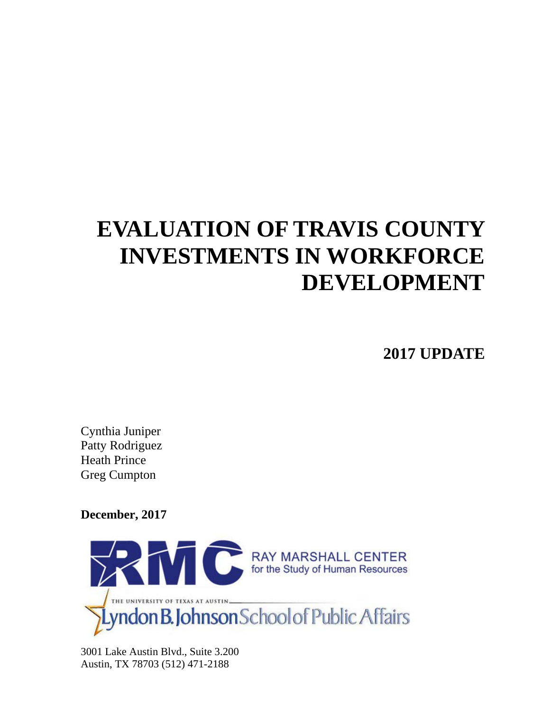## **EVALUATION OF TRAVIS COUNTY INVESTMENTS IN WORKFORCE DEVELOPMENT**

**2017 UPDATE**

Cynthia Juniper Patty Rodriguez Heath Prince Greg Cumpton

**December, 2017**



3001 Lake Austin Blvd., Suite 3.200 Austin, TX 78703 (512) 471-2188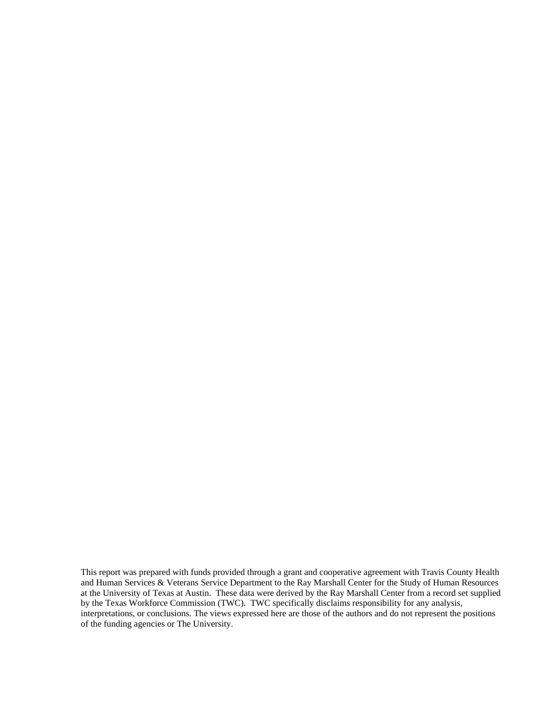This report was prepared with funds provided through a grant and cooperative agreement with Travis County Health and Human Services & Veterans Service Department to the Ray Marshall Center for the Study of Human Resources at the University of Texas at Austin. These data were derived by the Ray Marshall Center from a record set supplied by the Texas Workforce Commission (TWC). TWC specifically disclaims responsibility for any analysis, interpretations, or conclusions. The views expressed here are those of the authors and do not represent the positions of the funding agencies or The University.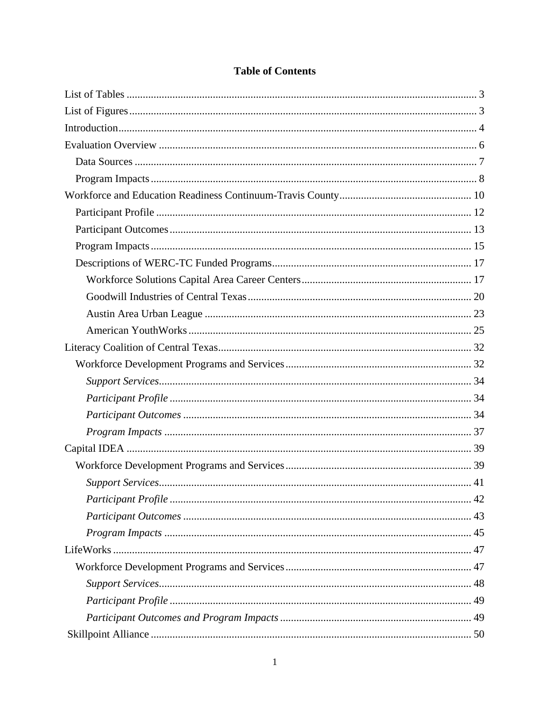#### **Table of Contents**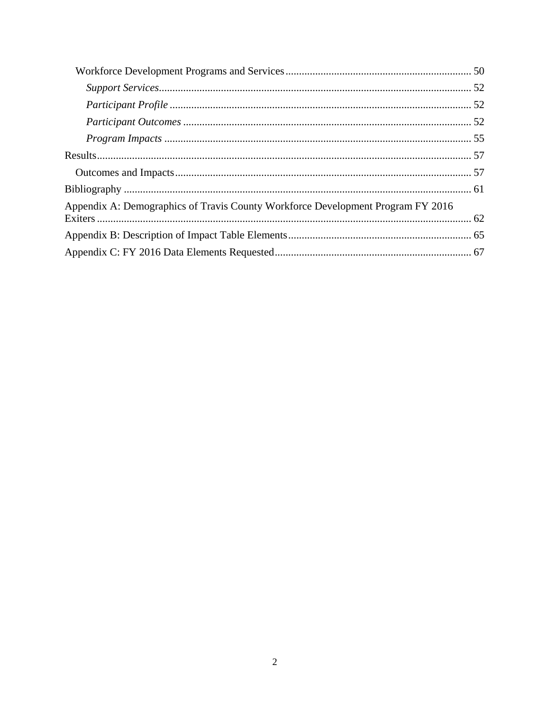| Appendix A: Demographics of Travis County Workforce Development Program FY 2016 |  |
|---------------------------------------------------------------------------------|--|
|                                                                                 |  |
|                                                                                 |  |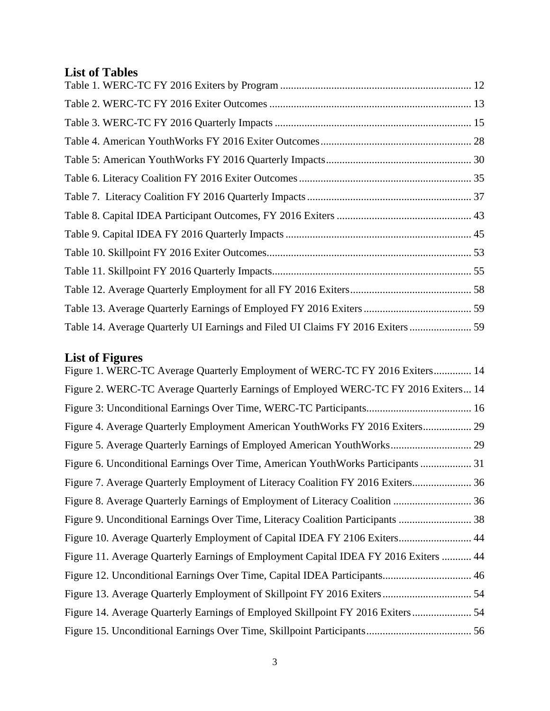## <span id="page-5-0"></span>**List of Tables**

| Table 14. Average Quarterly UI Earnings and Filed UI Claims FY 2016 Exiters  59 |  |
|---------------------------------------------------------------------------------|--|

## <span id="page-5-1"></span>**List of Figures**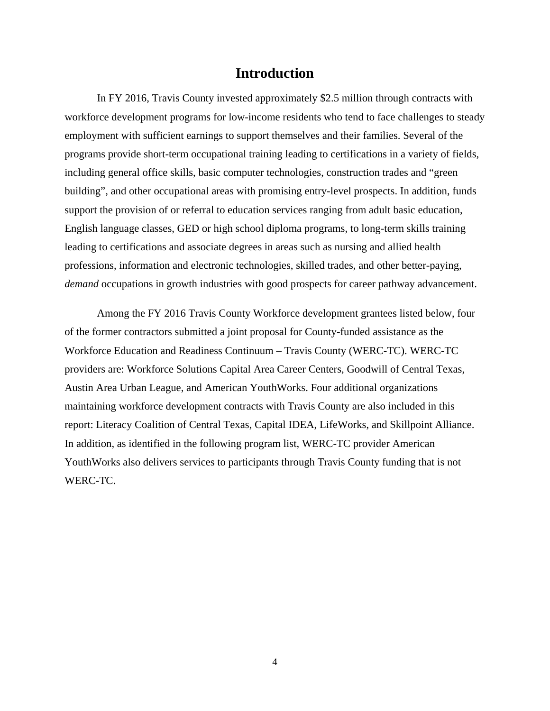#### <span id="page-6-0"></span>**Introduction**

In FY 2016, Travis County invested approximately \$2.5 million through contracts with workforce development programs for low-income residents who tend to face challenges to steady employment with sufficient earnings to support themselves and their families. Several of the programs provide short-term occupational training leading to certifications in a variety of fields, including general office skills, basic computer technologies, construction trades and "green building", and other occupational areas with promising entry-level prospects. In addition, funds support the provision of or referral to education services ranging from adult basic education, English language classes, GED or high school diploma programs, to long-term skills training leading to certifications and associate degrees in areas such as nursing and allied health professions, information and electronic technologies, skilled trades, and other better-paying, *demand* occupations in growth industries with good prospects for career pathway advancement.

Among the FY 2016 Travis County Workforce development grantees listed below, four of the former contractors submitted a joint proposal for County-funded assistance as the Workforce Education and Readiness Continuum – Travis County (WERC-TC). WERC-TC providers are: Workforce Solutions Capital Area Career Centers, Goodwill of Central Texas, Austin Area Urban League, and American YouthWorks. Four additional organizations maintaining workforce development contracts with Travis County are also included in this report: Literacy Coalition of Central Texas, Capital IDEA, LifeWorks, and Skillpoint Alliance. In addition, as identified in the following program list, WERC-TC provider American YouthWorks also delivers services to participants through Travis County funding that is not WERC-TC.

4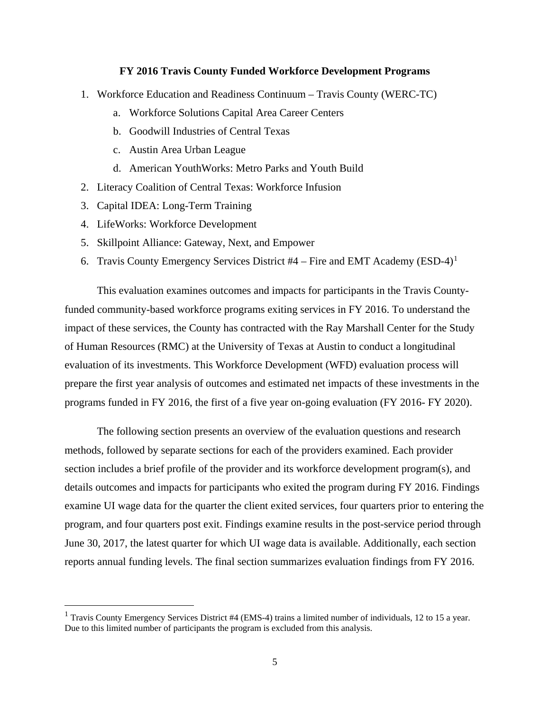#### **FY 2016 Travis County Funded Workforce Development Programs**

- 1. Workforce Education and Readiness Continuum Travis County (WERC-TC)
	- a. Workforce Solutions Capital Area Career Centers
	- b. Goodwill Industries of Central Texas
	- c. Austin Area Urban League
	- d. American YouthWorks: Metro Parks and Youth Build
- 2. Literacy Coalition of Central Texas: Workforce Infusion
- 3. Capital IDEA: Long-Term Training
- 4. LifeWorks: Workforce Development

 $\overline{a}$ 

- 5. Skillpoint Alliance: Gateway, Next, and Empower
- 6. Travis County Emergency Services District  $#4$  Fire and EMT Academy (ESD-4)<sup>[1](#page-7-0)</sup>

This evaluation examines outcomes and impacts for participants in the Travis Countyfunded community-based workforce programs exiting services in FY 2016. To understand the impact of these services, the County has contracted with the Ray Marshall Center for the Study of Human Resources (RMC) at the University of Texas at Austin to conduct a longitudinal evaluation of its investments. This Workforce Development (WFD) evaluation process will prepare the first year analysis of outcomes and estimated net impacts of these investments in the programs funded in FY 2016, the first of a five year on-going evaluation (FY 2016- FY 2020).

The following section presents an overview of the evaluation questions and research methods, followed by separate sections for each of the providers examined. Each provider section includes a brief profile of the provider and its workforce development program(s), and details outcomes and impacts for participants who exited the program during FY 2016. Findings examine UI wage data for the quarter the client exited services, four quarters prior to entering the program, and four quarters post exit. Findings examine results in the post-service period through June 30, 2017, the latest quarter for which UI wage data is available. Additionally, each section reports annual funding levels. The final section summarizes evaluation findings from FY 2016.

<span id="page-7-0"></span><sup>&</sup>lt;sup>1</sup> Travis County Emergency Services District #4 (EMS-4) trains a limited number of individuals, 12 to 15 a year. Due to this limited number of participants the program is excluded from this analysis.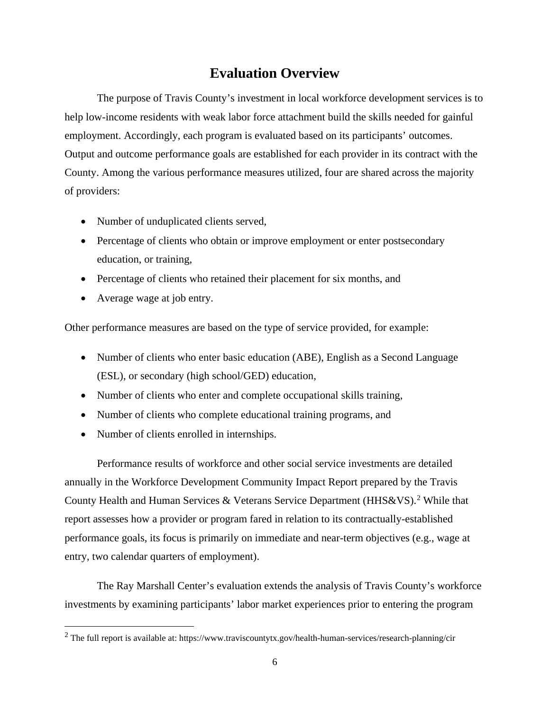### **Evaluation Overview**

<span id="page-8-0"></span>The purpose of Travis County's investment in local workforce development services is to help low-income residents with weak labor force attachment build the skills needed for gainful employment. Accordingly, each program is evaluated based on its participants' outcomes. Output and outcome performance goals are established for each provider in its contract with the County. Among the various performance measures utilized, four are shared across the majority of providers:

- Number of unduplicated clients served,
- Percentage of clients who obtain or improve employment or enter postsecondary education, or training,
- Percentage of clients who retained their placement for six months, and
- Average wage at job entry.

 $\overline{a}$ 

Other performance measures are based on the type of service provided, for example:

- Number of clients who enter basic education (ABE), English as a Second Language (ESL), or secondary (high school/GED) education,
- Number of clients who enter and complete occupational skills training,
- Number of clients who complete educational training programs, and
- Number of clients enrolled in internships.

Performance results of workforce and other social service investments are detailed annually in the Workforce Development Community Impact Report prepared by the Travis County Health and Human Services & Veterans Service Department ( $HHS\&VS$ ).<sup>[2](#page-8-1)</sup> While that report assesses how a provider or program fared in relation to its contractually-established performance goals, its focus is primarily on immediate and near-term objectives (e.g., wage at entry, two calendar quarters of employment).

The Ray Marshall Center's evaluation extends the analysis of Travis County's workforce investments by examining participants' labor market experiences prior to entering the program

<span id="page-8-1"></span><sup>&</sup>lt;sup>2</sup> The full report is available at: https://www.traviscountytx.gov/health-human-services/research-planning/cir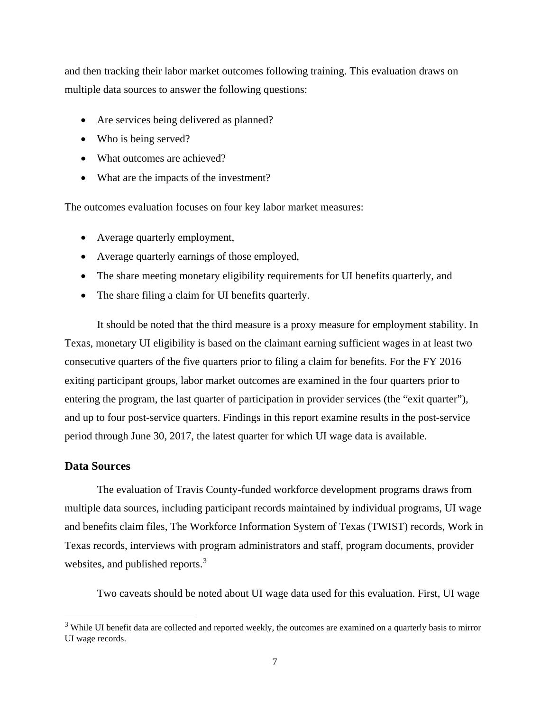and then tracking their labor market outcomes following training. This evaluation draws on multiple data sources to answer the following questions:

- Are services being delivered as planned?
- Who is being served?
- What outcomes are achieved?
- What are the impacts of the investment?

The outcomes evaluation focuses on four key labor market measures:

- Average quarterly employment,
- Average quarterly earnings of those employed,
- The share meeting monetary eligibility requirements for UI benefits quarterly, and
- The share filing a claim for UI benefits quarterly.

It should be noted that the third measure is a proxy measure for employment stability. In Texas, monetary UI eligibility is based on the claimant earning sufficient wages in at least two consecutive quarters of the five quarters prior to filing a claim for benefits. For the FY 2016 exiting participant groups, labor market outcomes are examined in the four quarters prior to entering the program, the last quarter of participation in provider services (the "exit quarter"), and up to four post-service quarters. Findings in this report examine results in the post-service period through June 30, 2017, the latest quarter for which UI wage data is available.

#### <span id="page-9-0"></span>**Data Sources**

 $\overline{a}$ 

The evaluation of Travis County-funded workforce development programs draws from multiple data sources, including participant records maintained by individual programs, UI wage and benefits claim files, The Workforce Information System of Texas (TWIST) records, Work in Texas records, interviews with program administrators and staff, program documents, provider websites, and published reports.<sup>[3](#page-9-1)</sup>

Two caveats should be noted about UI wage data used for this evaluation. First, UI wage

<span id="page-9-1"></span><sup>&</sup>lt;sup>3</sup> While UI benefit data are collected and reported weekly, the outcomes are examined on a quarterly basis to mirror UI wage records.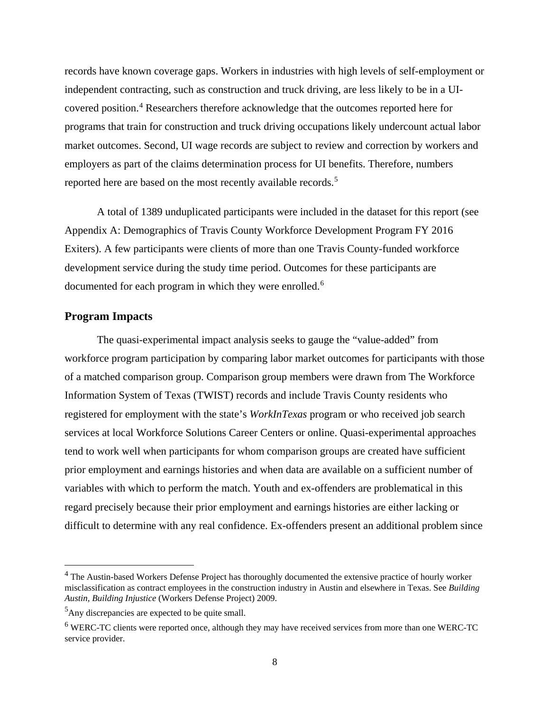records have known coverage gaps. Workers in industries with high levels of self-employment or independent contracting, such as construction and truck driving, are less likely to be in a UIcovered position.[4](#page-10-1) Researchers therefore acknowledge that the outcomes reported here for programs that train for construction and truck driving occupations likely undercount actual labor market outcomes. Second, UI wage records are subject to review and correction by workers and employers as part of the claims determination process for UI benefits. Therefore, numbers reported here are based on the most recently available records.<sup>[5](#page-10-2)</sup>

A total of 1389 unduplicated participants were included in the dataset for this report (see Appendix A: Demographics of Travis County Workforce Development Program FY 2016 Exiters). A few participants were clients of more than one Travis County-funded workforce development service during the study time period. Outcomes for these participants are documented for each program in which they were enrolled.<sup>[6](#page-10-3)</sup>

#### <span id="page-10-0"></span>**Program Impacts**

 $\overline{a}$ 

The quasi-experimental impact analysis seeks to gauge the "value-added" from workforce program participation by comparing labor market outcomes for participants with those of a matched comparison group. Comparison group members were drawn from The Workforce Information System of Texas (TWIST) records and include Travis County residents who registered for employment with the state's *WorkInTexas* program or who received job search services at local Workforce Solutions Career Centers or online. Quasi-experimental approaches tend to work well when participants for whom comparison groups are created have sufficient prior employment and earnings histories and when data are available on a sufficient number of variables with which to perform the match. Youth and ex-offenders are problematical in this regard precisely because their prior employment and earnings histories are either lacking or difficult to determine with any real confidence. Ex-offenders present an additional problem since

<span id="page-10-1"></span><sup>&</sup>lt;sup>4</sup> The Austin-based Workers Defense Project has thoroughly documented the extensive practice of hourly worker misclassification as contract employees in the construction industry in Austin and elsewhere in Texas. See *Building Austin, Building Injustice* (Workers Defense Project) 2009.

<span id="page-10-2"></span><sup>&</sup>lt;sup>5</sup>Any discrepancies are expected to be quite small.

<span id="page-10-3"></span><sup>&</sup>lt;sup>6</sup> WERC-TC clients were reported once, although they may have received services from more than one WERC-TC service provider.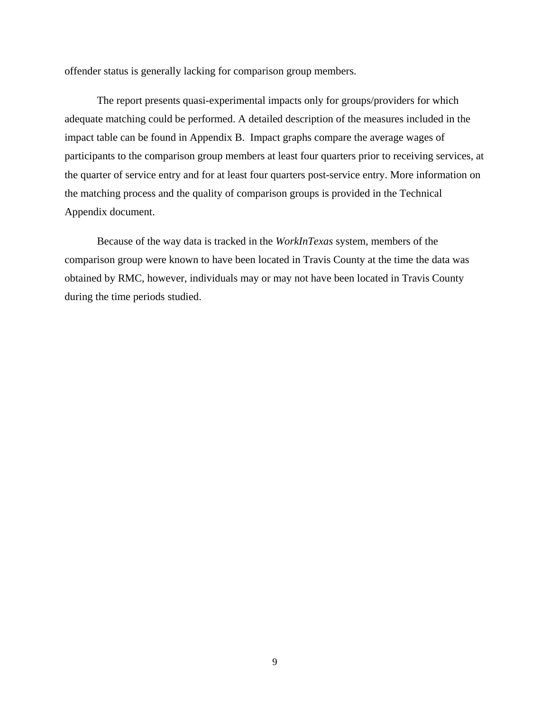offender status is generally lacking for comparison group members.

The report presents quasi-experimental impacts only for groups/providers for which adequate matching could be performed. A detailed description of the measures included in the impact table can be found in Appendix B. Impact graphs compare the average wages of participants to the comparison group members at least four quarters prior to receiving services, at the quarter of service entry and for at least four quarters post-service entry. More information on the matching process and the quality of comparison groups is provided in the Technical Appendix document.

Because of the way data is tracked in the *WorkInTexas* system, members of the comparison group were known to have been located in Travis County at the time the data was obtained by RMC, however, individuals may or may not have been located in Travis County during the time periods studied.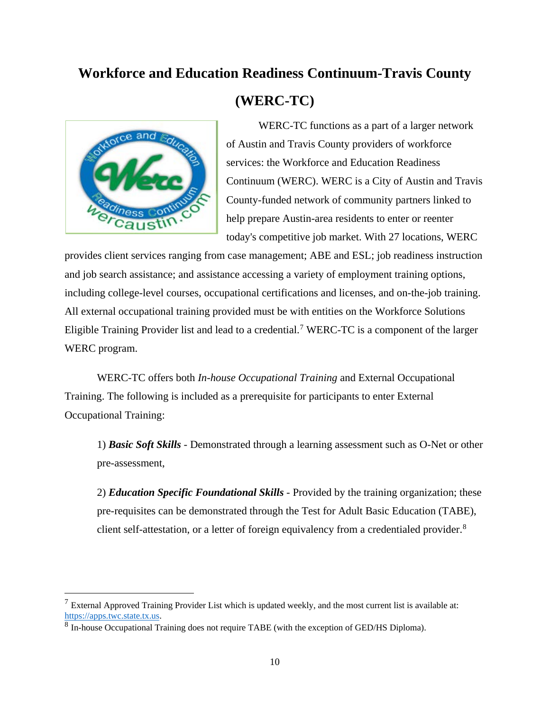## <span id="page-12-0"></span>**Workforce and Education Readiness Continuum-Travis County (WERC-TC)**



 $\overline{a}$ 

WERC-TC functions as a part of a larger network of Austin and Travis County providers of workforce services: the Workforce and Education Readiness Continuum (WERC). WERC is a City of Austin and Travis County-funded network of community partners linked to help prepare Austin-area residents to enter or reenter today's competitive job market. With 27 locations, WERC

provides client services ranging from case management; ABE and ESL; job readiness instruction and job search assistance; and assistance accessing a variety of employment training options, including college-level courses, occupational certifications and licenses, and on-the-job training. All external occupational training provided must be with entities on the Workforce Solutions Eligible Training Provider list and lead to a credential.<sup>[7](#page-12-1)</sup> WERC-TC is a component of the larger WERC program.

WERC-TC offers both *In-house Occupational Training* and External Occupational Training. The following is included as a prerequisite for participants to enter External Occupational Training:

1) *Basic Soft Skills* - Demonstrated through a learning assessment such as O-Net or other pre-assessment,

2) *Education Specific Foundational Skills* - Provided by the training organization; these pre-requisites can be demonstrated through the Test for Adult Basic Education (TABE), client self-attestation, or a letter of foreign equivalency from a credentialed provider.<sup>[8](#page-12-2)</sup>

<span id="page-12-1"></span> $<sup>7</sup>$  External Approved Training Provider List which is updated weekly, and the most current list is available at:</sup> [https://apps.twc.state.tx.us.](https://apps.twc.state.tx.us/)

<span id="page-12-2"></span><sup>8</sup> In-house Occupational Training does not require TABE (with the exception of GED/HS Diploma).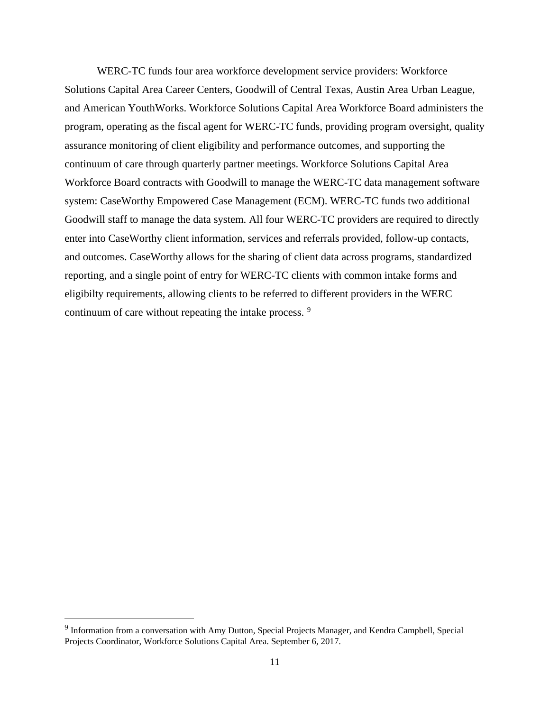WERC-TC funds four area workforce development service providers: Workforce Solutions Capital Area Career Centers, Goodwill of Central Texas, Austin Area Urban League, and American YouthWorks. Workforce Solutions Capital Area Workforce Board administers the program, operating as the fiscal agent for WERC-TC funds, providing program oversight, quality assurance monitoring of client eligibility and performance outcomes, and supporting the continuum of care through quarterly partner meetings. Workforce Solutions Capital Area Workforce Board contracts with Goodwill to manage the WERC-TC data management software system: CaseWorthy Empowered Case Management (ECM). WERC-TC funds two additional Goodwill staff to manage the data system. All four WERC-TC providers are required to directly enter into CaseWorthy client information, services and referrals provided, follow-up contacts, and outcomes. CaseWorthy allows for the sharing of client data across programs, standardized reporting, and a single point of entry for WERC-TC clients with common intake forms and eligibilty requirements, allowing clients to be referred to different providers in the WERC continuum of care without repeating the intake process. <sup>[9](#page-13-0)</sup>

 $\overline{a}$ 

<span id="page-13-0"></span><sup>&</sup>lt;sup>9</sup> Information from a conversation with Amy Dutton, Special Projects Manager, and Kendra Campbell, Special Projects Coordinator, Workforce Solutions Capital Area. September 6, 2017.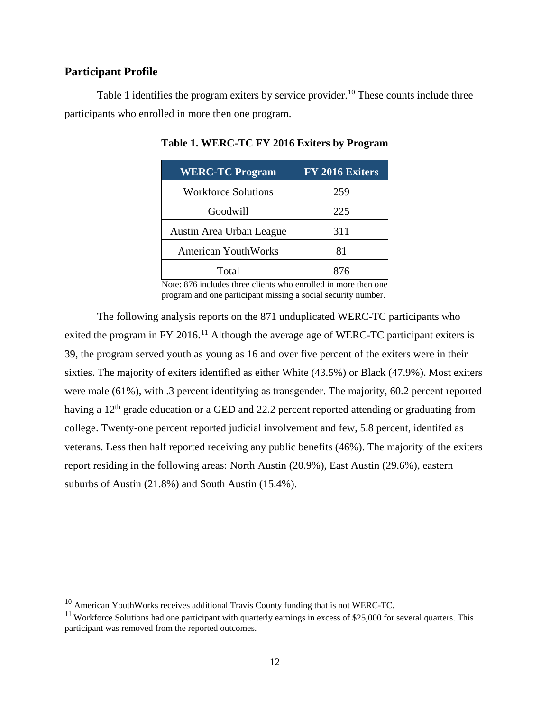#### <span id="page-14-0"></span>**Participant Profile**

 $\overline{a}$ 

<span id="page-14-1"></span>Table 1 identifies the program exiters by service provider.<sup>[10](#page-14-2)</sup> These counts include three participants who enrolled in more then one program.

| <b>WERC-TC Program</b>     | FY 2016 Exiters |
|----------------------------|-----------------|
| <b>Workforce Solutions</b> | 259             |
| Goodwill                   | 225             |
| Austin Area Urban League   | 311             |
| <b>American YouthWorks</b> | 81              |
| Total                      |                 |

**Table 1. WERC-TC FY 2016 Exiters by Program**

Note: 876 includes three clients who enrolled in more then one program and one participant missing a social security number.

The following analysis reports on the 871 unduplicated WERC-TC participants who exited the program in FY 2016.<sup>[11](#page-14-3)</sup> Although the average age of WERC-TC participant exiters is 39, the program served youth as young as 16 and over five percent of the exiters were in their sixties. The majority of exiters identified as either White (43.5%) or Black (47.9%). Most exiters were male (61%), with .3 percent identifying as transgender. The majority, 60.2 percent reported having a  $12<sup>th</sup>$  grade education or a GED and 22.2 percent reported attending or graduating from college. Twenty-one percent reported judicial involvement and few, 5.8 percent, identifed as veterans. Less then half reported receiving any public benefits (46%). The majority of the exiters report residing in the following areas: North Austin (20.9%), East Austin (29.6%), eastern suburbs of Austin (21.8%) and South Austin (15.4%).

<span id="page-14-2"></span><sup>&</sup>lt;sup>10</sup> American YouthWorks receives additional Travis County funding that is not WERC-TC.

<span id="page-14-3"></span> $11$  Workforce Solutions had one participant with quarterly earnings in excess of \$25,000 for several quarters. This participant was removed from the reported outcomes.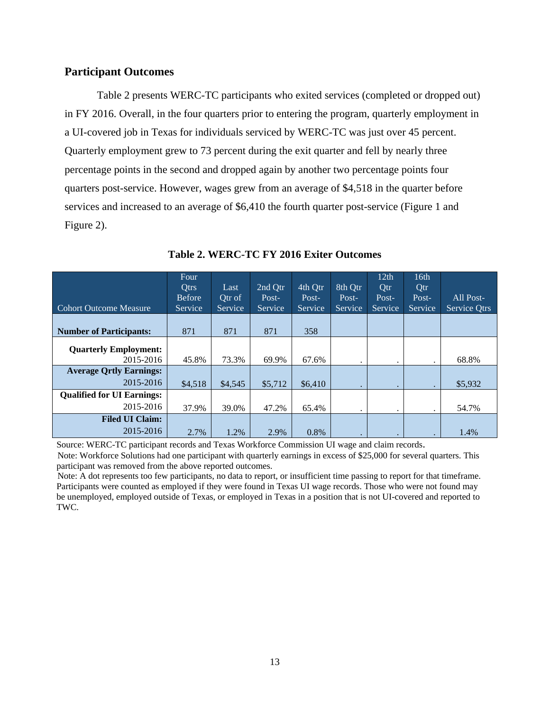#### <span id="page-15-0"></span>**Participant Outcomes**

Table 2 presents WERC-TC participants who exited services (completed or dropped out) in FY 2016. Overall, in the four quarters prior to entering the program, quarterly employment in a UI-covered job in Texas for individuals serviced by WERC-TC was just over 45 percent. Quarterly employment grew to 73 percent during the exit quarter and fell by nearly three percentage points in the second and dropped again by another two percentage points four quarters post-service. However, wages grew from an average of \$4,518 in the quarter before services and increased to an average of \$6,410 the fourth quarter post-service (Figure 1 and Figure 2).

<span id="page-15-1"></span>

|                                   | Four          |         |         |         |         | 12 <sup>th</sup> | 16th    |              |
|-----------------------------------|---------------|---------|---------|---------|---------|------------------|---------|--------------|
|                                   | Otrs          | Last    | 2nd Qtr | 4th Qtr | 8th Qtr | Qtr              | Qtr     |              |
|                                   | <b>Before</b> | Otr of  | Post-   | Post-   | Post-   | Post-            | Post-   | All Post-    |
| Cohort Outcome Measure            | Service       | Service | Service | Service | Service | Service          | Service | Service Qtrs |
|                                   |               |         |         |         |         |                  |         |              |
| <b>Number of Participants:</b>    | 871           | 871     | 871     | 358     |         |                  |         |              |
|                                   |               |         |         |         |         |                  |         |              |
| <b>Quarterly Employment:</b>      |               |         |         |         |         |                  |         |              |
| 2015-2016                         | 45.8%         | 73.3%   | 69.9%   | 67.6%   | $\cdot$ | ٠                |         | 68.8%        |
| <b>Average Ortly Earnings:</b>    |               |         |         |         |         |                  |         |              |
| 2015-2016                         | \$4,518       | \$4,545 | \$5,712 | \$6,410 | $\cdot$ | ٠                |         | \$5,932      |
| <b>Qualified for UI Earnings:</b> |               |         |         |         |         |                  |         |              |
| 2015-2016                         | 37.9%         | 39.0%   | 47.2%   | 65.4%   | ٠       | ٠                | $\cdot$ | 54.7%        |
| <b>Filed UI Claim:</b>            |               |         |         |         |         |                  |         |              |
| 2015-2016                         | 2.7%          | 1.2%    | 2.9%    | 0.8%    |         | $\bullet$        |         | 1.4%         |

**Table 2. WERC-TC FY 2016 Exiter Outcomes**

Source: WERC-TC participant records and Texas Workforce Commission UI wage and claim records.<br>Note: Workforce Solutions had one participant with quarterly earnings in excess of \$25,000 for several quarters. This participant was removed from the above reported outcomes.

 Note: A dot represents too few participants, no data to report, or insufficient time passing to report for that timeframe. Participants were counted as employed if they were found in Texas UI wage records. Those who were not found may be unemployed, employed outside of Texas, or employed in Texas in a position that is not UI-covered and reported to TWC.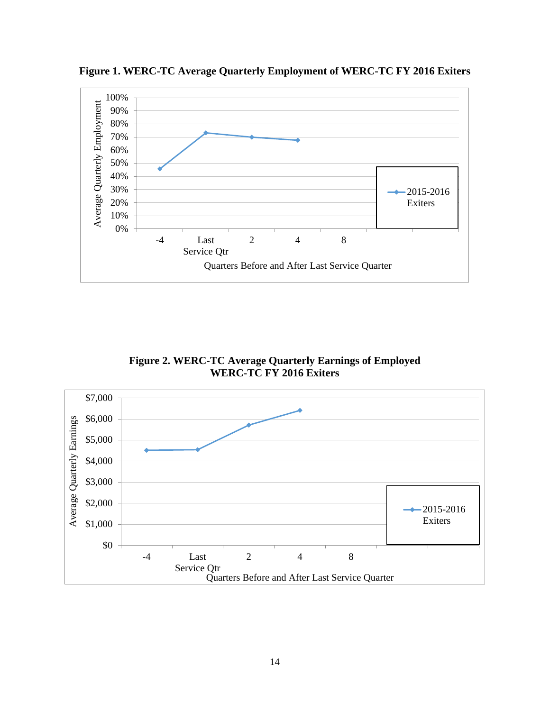

<span id="page-16-0"></span>**Figure 1. WERC-TC Average Quarterly Employment of WERC-TC FY 2016 Exiters**

**Figure 2. WERC-TC Average Quarterly Earnings of Employed WERC-TC FY 2016 Exiters**

<span id="page-16-1"></span>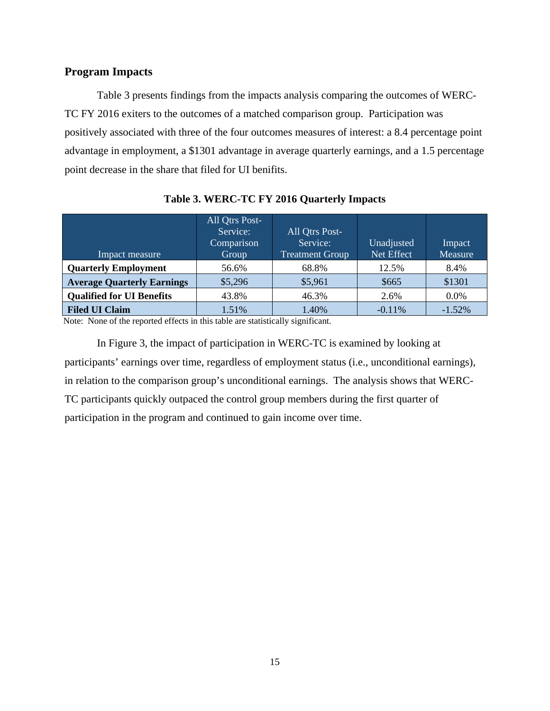#### <span id="page-17-0"></span>**Program Impacts**

Table 3 presents findings from the impacts analysis comparing the outcomes of WERC-TC FY 2016 exiters to the outcomes of a matched comparison group. Participation was positively associated with three of the four outcomes measures of interest: a 8.4 percentage point advantage in employment, a \$1301 advantage in average quarterly earnings, and a 1.5 percentage point decrease in the share that filed for UI benifits.

<span id="page-17-1"></span>

| Impact measure                    | All Qtrs Post-<br>Service:<br>Comparison<br>Group | All Qtrs Post-<br>Service:<br><b>Treatment Group</b> | Unadjusted<br>Net Effect | Impact<br>Measure |
|-----------------------------------|---------------------------------------------------|------------------------------------------------------|--------------------------|-------------------|
| <b>Quarterly Employment</b>       | 56.6%                                             | 68.8%                                                | 12.5%                    | 8.4%              |
| <b>Average Quarterly Earnings</b> | \$5,296                                           | \$5,961                                              | \$665                    | \$1301            |
| <b>Qualified for UI Benefits</b>  | 43.8%                                             | 46.3%                                                | 2.6%                     | 0.0%              |
| <b>Filed UI Claim</b>             | 1.51%                                             | 1.40%                                                | $-0.11%$                 | $-1.52%$          |

**Table 3. WERC-TC FY 2016 Quarterly Impacts**

Note: None of the reported effects in this table are statistically significant.

In Figure 3, the impact of participation in WERC-TC is examined by looking at participants' earnings over time, regardless of employment status (i.e., unconditional earnings), in relation to the comparison group's unconditional earnings. The analysis shows that WERC-TC participants quickly outpaced the control group members during the first quarter of participation in the program and continued to gain income over time.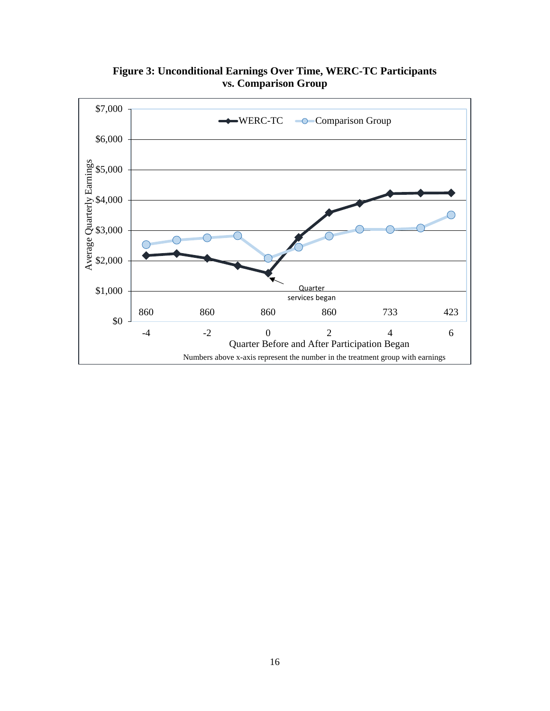<span id="page-18-0"></span>

**Figure 3: Unconditional Earnings Over Time, WERC-TC Participants vs. Comparison Group**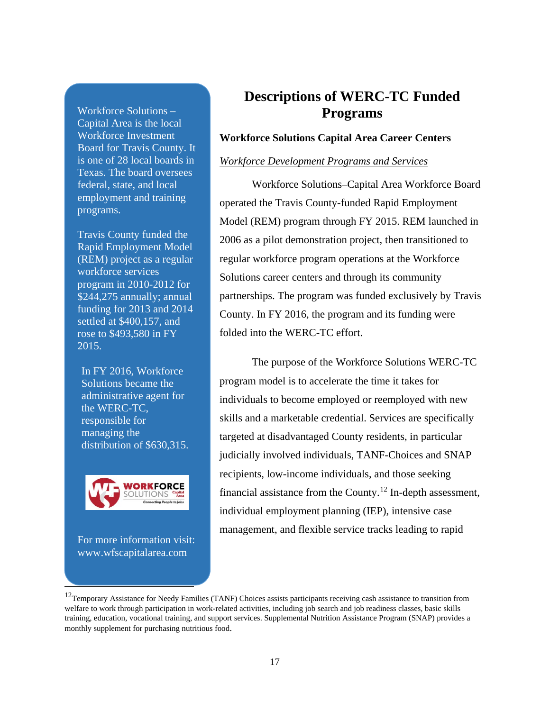Workforce Solutions – Capital Area is the local Workforce Investment Board for Travis County. It is one of 28 local boards in Texas. The board oversees federal, state, and local employment and training programs.

Travis County funded the Rapid Employment Model (REM) project as a regular workforce services program in 2010-2012 for \$244,275 annually; annual funding for 2013 and 2014 settled at \$400,157, and rose to \$493,580 in FY 2015.

In FY 2016, Workforce Solutions became the administrative agent for the WERC-TC, responsible for managing the distribution of \$630,315.



For more information visit: www.wfscapitalarea.com

 $\overline{a}$ 

## <span id="page-19-0"></span>**Descriptions of WERC-TC Funded Programs**

#### <span id="page-19-1"></span>**Workforce Solutions Capital Area Career Centers**

#### *Workforce Development Programs and Services*

Workforce Solutions–Capital Area Workforce Board operated the Travis County-funded Rapid Employment Model (REM) program through FY 2015. REM launched in 2006 as a pilot demonstration project, then transitioned to regular workforce program operations at the Workforce Solutions career centers and through its community partnerships. The program was funded exclusively by Travis County. In FY 2016, the program and its funding were folded into the WERC-TC effort.

The purpose of the Workforce Solutions WERC-TC program model is to accelerate the time it takes for individuals to become employed or reemployed with new skills and a marketable credential. Services are specifically targeted at disadvantaged County residents, in particular judicially involved individuals, TANF-Choices and SNAP recipients, low-income individuals, and those seeking financial assistance from the County.<sup>[12](#page-19-2)</sup> In-depth assessment, individual employment planning (IEP), intensive case management, and flexible service tracks leading to rapid

<span id="page-19-2"></span><sup>&</sup>lt;sup>12</sup>Temporary Assistance for Needy Families (TANF) Choices assists participants receiving cash assistance to transition from welfare to work through participation in work-related activities, including job search and job readiness classes, basic skills training, education, vocational training, and support services. Supplemental Nutrition Assistance Program (SNAP) provides a monthly supplement for purchasing nutritious food.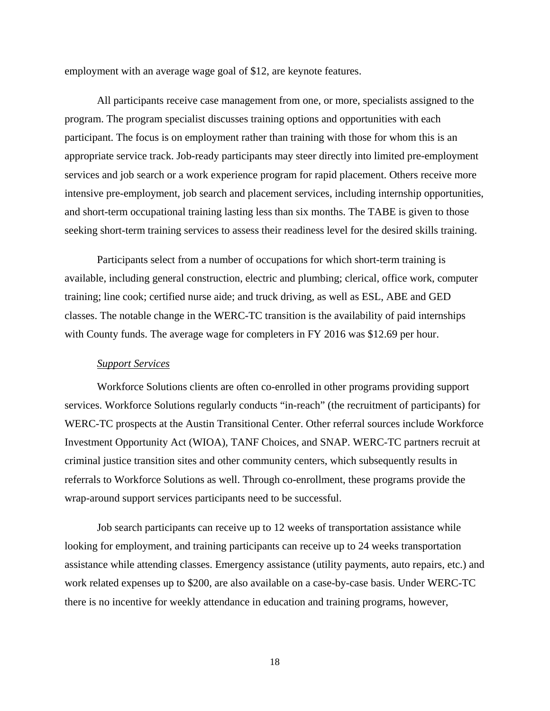employment with an average wage goal of \$12, are keynote features.

All participants receive case management from one, or more, specialists assigned to the program. The program specialist discusses training options and opportunities with each participant. The focus is on employment rather than training with those for whom this is an appropriate service track. Job-ready participants may steer directly into limited pre-employment services and job search or a work experience program for rapid placement. Others receive more intensive pre-employment, job search and placement services, including internship opportunities, and short-term occupational training lasting less than six months. The TABE is given to those seeking short-term training services to assess their readiness level for the desired skills training.

Participants select from a number of occupations for which short-term training is available, including general construction, electric and plumbing; clerical, office work, computer training; line cook; certified nurse aide; and truck driving, as well as ESL, ABE and GED classes. The notable change in the WERC-TC transition is the availability of paid internships with County funds. The average wage for completers in FY 2016 was \$12.69 per hour.

#### *Support Services*

Workforce Solutions clients are often co-enrolled in other programs providing support services. Workforce Solutions regularly conducts "in-reach" (the recruitment of participants) for WERC-TC prospects at the Austin Transitional Center. Other referral sources include Workforce Investment Opportunity Act (WIOA), TANF Choices, and SNAP. WERC-TC partners recruit at criminal justice transition sites and other community centers, which subsequently results in referrals to Workforce Solutions as well. Through co-enrollment, these programs provide the wrap-around support services participants need to be successful.

Job search participants can receive up to 12 weeks of transportation assistance while looking for employment, and training participants can receive up to 24 weeks transportation assistance while attending classes. Emergency assistance (utility payments, auto repairs, etc.) and work related expenses up to \$200, are also available on a case-by-case basis. Under WERC-TC there is no incentive for weekly attendance in education and training programs, however,

18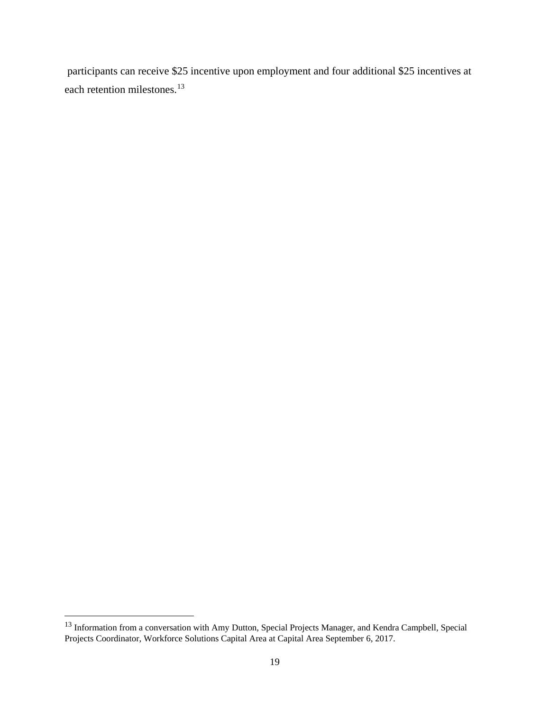participants can receive \$25 incentive upon employment and four additional \$25 incentives at each retention milestones.<sup>[13](#page-21-0)</sup>

 $\overline{a}$ 

<span id="page-21-0"></span><sup>&</sup>lt;sup>13</sup> Information from a conversation with Amy Dutton, Special Projects Manager, and Kendra Campbell, Special Projects Coordinator, Workforce Solutions Capital Area at Capital Area September 6, 2017.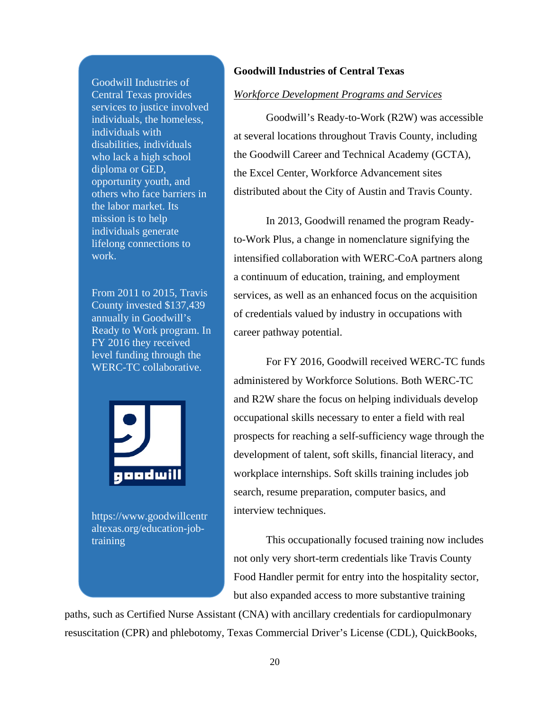Goodwill Industries of Central Texas provides services to justice involved individuals, the homeless, individuals with disabilities, individuals who lack a high school diploma or GED, opportunity youth, and others who face barriers in the labor market. Its mission is to help individuals generate lifelong connections to work.

From 2011 to 2015, Travis County invested \$137,439 annually in Goodwill's Ready to Work program. In FY 2016 they received level funding through the WERC-TC collaborative.



https://www.goodwillcentr altexas.org/education-jobtraining

#### <span id="page-22-0"></span>**Goodwill Industries of Central Texas**

#### *Workforce Development Programs and Services*

Goodwill's Ready-to-Work (R2W) was accessible at several locations throughout Travis County, including the Goodwill Career and Technical Academy (GCTA), the Excel Center, Workforce Advancement sites distributed about the City of Austin and Travis County.

In 2013, Goodwill renamed the program Readyto-Work Plus, a change in nomenclature signifying the intensified collaboration with WERC-CoA partners along a continuum of education, training, and employment services, as well as an enhanced focus on the acquisition of credentials valued by industry in occupations with career pathway potential.

For FY 2016, Goodwill received WERC-TC funds administered by Workforce Solutions. Both WERC-TC and R2W share the focus on helping individuals develop occupational skills necessary to enter a field with real prospects for reaching a self-sufficiency wage through the development of talent, soft skills, financial literacy, and workplace internships. Soft skills training includes job search, resume preparation, computer basics, and interview techniques.

This occupationally focused training now includes not only very short-term credentials like Travis County Food Handler permit for entry into the hospitality sector, but also expanded access to more substantive training

paths, such as Certified Nurse Assistant (CNA) with ancillary credentials for cardiopulmonary resuscitation (CPR) and phlebotomy, Texas Commercial Driver's License (CDL), QuickBooks,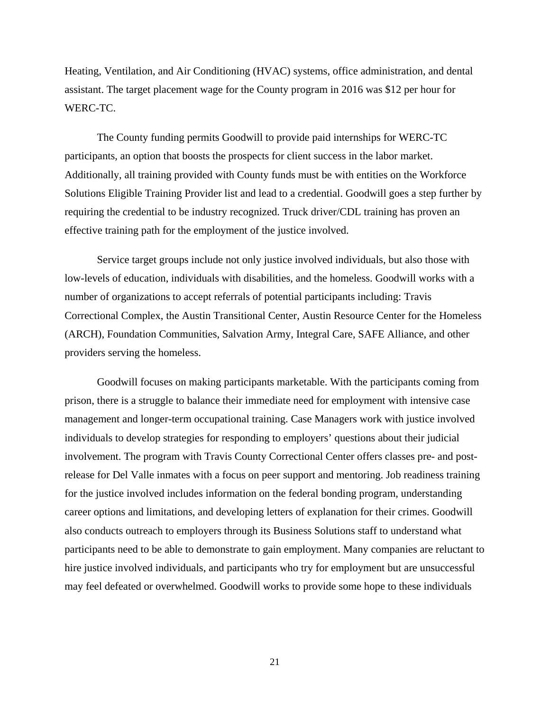Heating, Ventilation, and Air Conditioning (HVAC) systems, office administration, and dental assistant. The target placement wage for the County program in 2016 was \$12 per hour for WERC-TC.

The County funding permits Goodwill to provide paid internships for WERC-TC participants, an option that boosts the prospects for client success in the labor market. Additionally, all training provided with County funds must be with entities on the Workforce Solutions Eligible Training Provider list and lead to a credential. Goodwill goes a step further by requiring the credential to be industry recognized. Truck driver/CDL training has proven an effective training path for the employment of the justice involved.

Service target groups include not only justice involved individuals, but also those with low-levels of education, individuals with disabilities, and the homeless. Goodwill works with a number of organizations to accept referrals of potential participants including: Travis Correctional Complex, the Austin Transitional Center, Austin Resource Center for the Homeless (ARCH), Foundation Communities, Salvation Army, Integral Care, SAFE Alliance, and other providers serving the homeless.

Goodwill focuses on making participants marketable. With the participants coming from prison, there is a struggle to balance their immediate need for employment with intensive case management and longer-term occupational training. Case Managers work with justice involved individuals to develop strategies for responding to employers' questions about their judicial involvement. The program with Travis County Correctional Center offers classes pre- and postrelease for Del Valle inmates with a focus on peer support and mentoring. Job readiness training for the justice involved includes information on the federal bonding program, understanding career options and limitations, and developing letters of explanation for their crimes. Goodwill also conducts outreach to employers through its Business Solutions staff to understand what participants need to be able to demonstrate to gain employment. Many companies are reluctant to hire justice involved individuals, and participants who try for employment but are unsuccessful may feel defeated or overwhelmed. Goodwill works to provide some hope to these individuals

21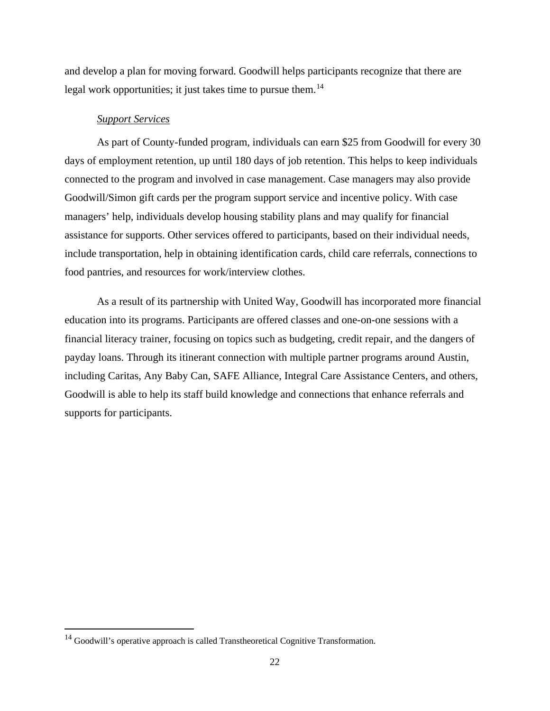and develop a plan for moving forward. Goodwill helps participants recognize that there are legal work opportunities; it just takes time to pursue them.<sup>[14](#page-24-0)</sup>

#### *Support Services*

As part of County-funded program, individuals can earn \$25 from Goodwill for every 30 days of employment retention, up until 180 days of job retention. This helps to keep individuals connected to the program and involved in case management. Case managers may also provide Goodwill/Simon gift cards per the program support service and incentive policy. With case managers' help, individuals develop housing stability plans and may qualify for financial assistance for supports. Other services offered to participants, based on their individual needs, include transportation, help in obtaining identification cards, child care referrals, connections to food pantries, and resources for work/interview clothes.

As a result of its partnership with United Way, Goodwill has incorporated more financial education into its programs. Participants are offered classes and one-on-one sessions with a financial literacy trainer, focusing on topics such as budgeting, credit repair, and the dangers of payday loans. Through its itinerant connection with multiple partner programs around Austin, including Caritas, Any Baby Can, SAFE Alliance, Integral Care Assistance Centers, and others, Goodwill is able to help its staff build knowledge and connections that enhance referrals and supports for participants.

 $\overline{a}$ 

<span id="page-24-0"></span><sup>&</sup>lt;sup>14</sup> Goodwill's operative approach is called Transtheoretical Cognitive Transformation.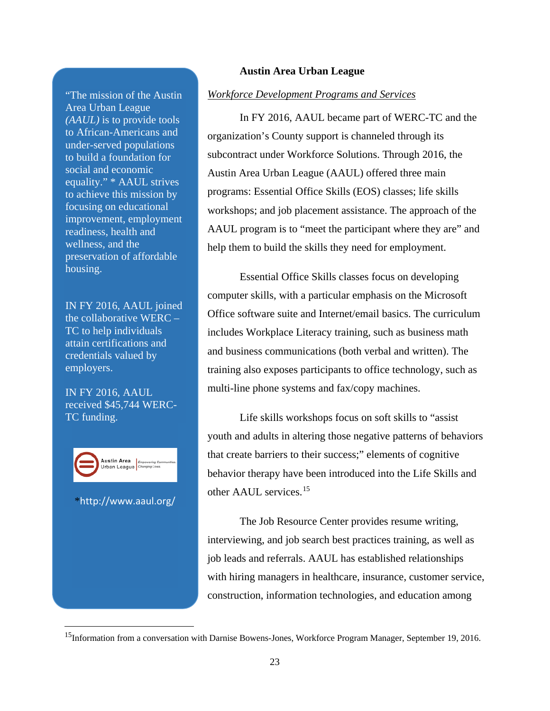"The mission of the Austin Area Urban League *(AAUL)* is to provide tools to African-Americans and under-served populations to build a foundation for social and economic equality." \* AAUL strives to achieve this mission by focusing on educational improvement, employment readiness, health and wellness, and the preservation of affordable housing.

IN FY 2016, AAUL joined the collaborative WERC – TC to help individuals attain certifications and credentials valued by employers.

IN FY 2016, AAUL received \$45,744 WERC-TC funding.



\*<http://www.aaul.org/>

 $\overline{a}$ 

#### <span id="page-25-0"></span>**Austin Area Urban League**

#### *Workforce Development Programs and Services*

In FY 2016, AAUL became part of WERC-TC and the organization's County support is channeled through its subcontract under Workforce Solutions. Through 2016, the Austin Area Urban League (AAUL) offered three main programs: Essential Office Skills (EOS) classes; life skills workshops; and job placement assistance. The approach of the AAUL program is to "meet the participant where they are" and help them to build the skills they need for employment.

Essential Office Skills classes focus on developing computer skills, with a particular emphasis on the Microsoft Office software suite and Internet/email basics. The curriculum includes Workplace Literacy training, such as business math and business communications (both verbal and written). The training also exposes participants to office technology, such as multi-line phone systems and fax/copy machines.

Life skills workshops focus on soft skills to "assist youth and adults in altering those negative patterns of behaviors that create barriers to their success;" elements of cognitive behavior therapy have been introduced into the Life Skills and other AAUL services.[15](#page-25-1)

The Job Resource Center provides resume writing, interviewing, and job search best practices training, as well as job leads and referrals. AAUL has established relationships with hiring managers in healthcare, insurance, customer service, construction, information technologies, and education among

<span id="page-25-1"></span><sup>&</sup>lt;sup>15</sup>Information from a conversation with Darnise Bowens-Jones, Workforce Program Manager, September 19, 2016.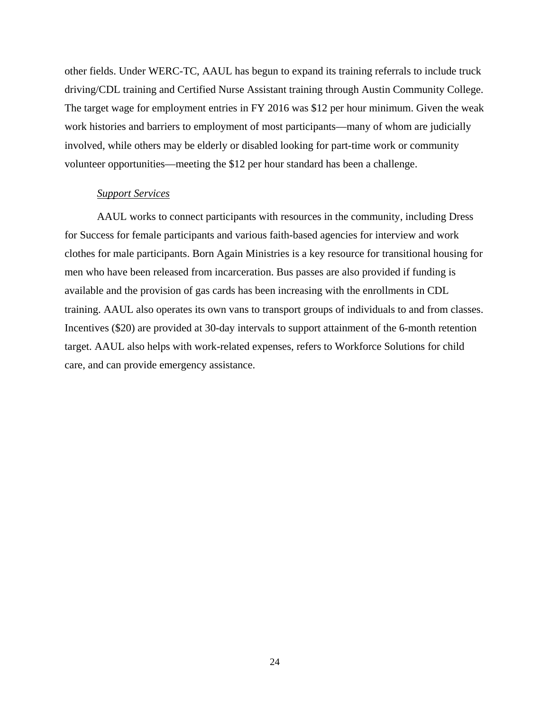other fields. Under WERC-TC, AAUL has begun to expand its training referrals to include truck driving/CDL training and Certified Nurse Assistant training through Austin Community College. The target wage for employment entries in FY 2016 was \$12 per hour minimum. Given the weak work histories and barriers to employment of most participants—many of whom are judicially involved, while others may be elderly or disabled looking for part-time work or community volunteer opportunities—meeting the \$12 per hour standard has been a challenge.

#### *Support Services*

AAUL works to connect participants with resources in the community, including Dress for Success for female participants and various faith-based agencies for interview and work clothes for male participants. Born Again Ministries is a key resource for transitional housing for men who have been released from incarceration. Bus passes are also provided if funding is available and the provision of gas cards has been increasing with the enrollments in CDL training. AAUL also operates its own vans to transport groups of individuals to and from classes. Incentives (\$20) are provided at 30-day intervals to support attainment of the 6-month retention target. AAUL also helps with work-related expenses, refers to Workforce Solutions for child care, and can provide emergency assistance.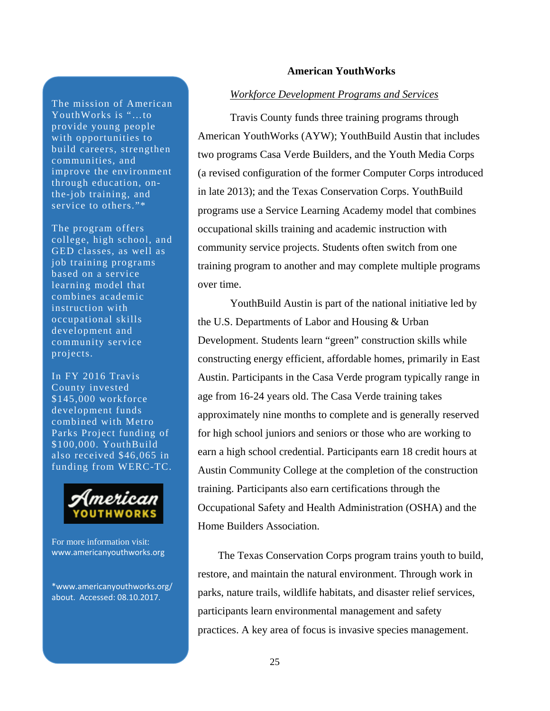The mission of American YouthWorks is "…to provide young people with opportunities to build careers, strengthen communities, and improve the environment through education, onthe-job training, and service to others."\*

The program offers college, high school, and GED classes, as well as job training programs based on a service learning model that combines academic instruction with occupational skills development and community service projects.

In FY 2016 Travis County invested \$145,000 workforce development funds combined with Metro Parks Project funding of \$100,000. YouthBuild also received \$46,065 in funding from WERC-TC.



For more information visit: [www.americanyouthworks.org](http://www.americanyouthworks.org/)

\*www.americanyouthworks.org/ about. Accessed: 08.10.2017.

#### <span id="page-27-0"></span>**American YouthWorks**

#### *Workforce Development Programs and Services*

Travis County funds three training programs through American YouthWorks (AYW); YouthBuild Austin that includes two programs Casa Verde Builders, and the Youth Media Corps (a revised configuration of the former Computer Corps introduced in late 2013); and the Texas Conservation Corps. YouthBuild programs use a Service Learning Academy model that combines occupational skills training and academic instruction with community service projects. Students often switch from one training program to another and may complete multiple programs over time.

YouthBuild Austin is part of the national initiative led by the U.S. Departments of Labor and Housing & Urban Development. Students learn "green" construction skills while constructing energy efficient, affordable homes, primarily in East Austin. Participants in the Casa Verde program typically range in age from 16-24 years old. The Casa Verde training takes approximately nine months to complete and is generally reserved for high school juniors and seniors or those who are working to earn a high school credential. Participants earn 18 credit hours at Austin Community College at the completion of the construction training. Participants also earn certifications through the Occupational Safety and Health Administration (OSHA) and the Home Builders Association.

The Texas Conservation Corps program trains youth to build, restore, and maintain the natural environment. Through work in parks, nature trails, wildlife habitats, and disaster relief services, participants learn environmental management and safety practices. A key area of focus is invasive species management.

25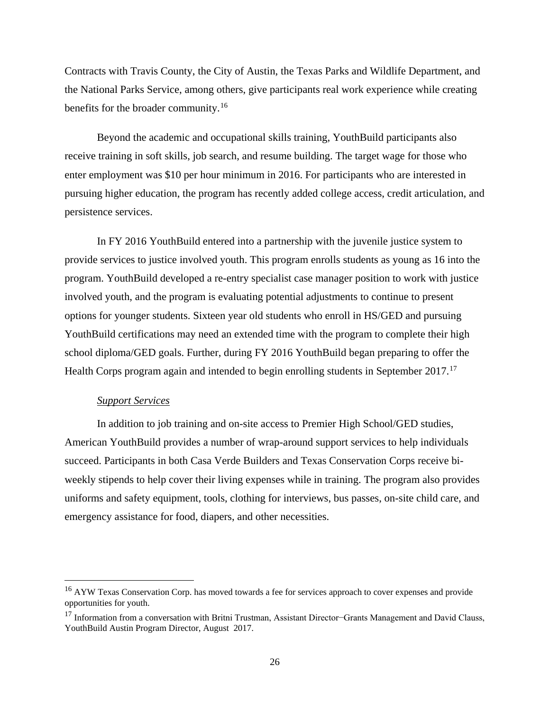Contracts with Travis County, the City of Austin, the Texas Parks and Wildlife Department, and the National Parks Service, among others, give participants real work experience while creating benefits for the broader community.<sup>[16](#page-28-0)</sup>

Beyond the academic and occupational skills training, YouthBuild participants also receive training in soft skills, job search, and resume building. The target wage for those who enter employment was \$10 per hour minimum in 2016. For participants who are interested in pursuing higher education, the program has recently added college access, credit articulation, and persistence services.

In FY 2016 YouthBuild entered into a partnership with the juvenile justice system to provide services to justice involved youth. This program enrolls students as young as 16 into the program. YouthBuild developed a re-entry specialist case manager position to work with justice involved youth, and the program is evaluating potential adjustments to continue to present options for younger students. Sixteen year old students who enroll in HS/GED and pursuing YouthBuild certifications may need an extended time with the program to complete their high school diploma/GED goals. Further, during FY 2016 YouthBuild began preparing to offer the Health Corps program again and intended to begin enrolling students in September 20[17](#page-28-1).<sup>17</sup>

#### *Support Services*

 $\overline{a}$ 

In addition to job training and on-site access to Premier High School/GED studies, American YouthBuild provides a number of wrap-around support services to help individuals succeed. Participants in both Casa Verde Builders and Texas Conservation Corps receive biweekly stipends to help cover their living expenses while in training. The program also provides uniforms and safety equipment, tools, clothing for interviews, bus passes, on-site child care, and emergency assistance for food, diapers, and other necessities.

<span id="page-28-0"></span><sup>&</sup>lt;sup>16</sup> AYW Texas Conservation Corp. has moved towards a fee for services approach to cover expenses and provide opportunities for youth.

<span id="page-28-1"></span><sup>17</sup> Information from a conversation with Britni Trustman, Assistant Director−Grants Management and David Clauss, YouthBuild Austin Program Director, August 2017.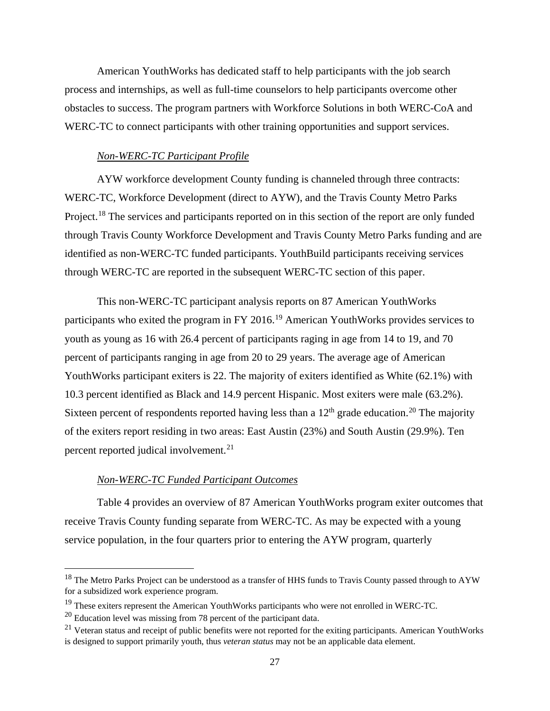American YouthWorks has dedicated staff to help participants with the job search process and internships, as well as full-time counselors to help participants overcome other obstacles to success. The program partners with Workforce Solutions in both WERC-CoA and WERC-TC to connect participants with other training opportunities and support services.

#### *Non-WERC-TC Participant Profile*

AYW workforce development County funding is channeled through three contracts: WERC-TC, Workforce Development (direct to AYW), and the Travis County Metro Parks Project.<sup>[18](#page-29-0)</sup> The services and participants reported on in this section of the report are only funded through Travis County Workforce Development and Travis County Metro Parks funding and are identified as non-WERC-TC funded participants. YouthBuild participants receiving services through WERC-TC are reported in the subsequent WERC-TC section of this paper.

This non-WERC-TC participant analysis reports on 87 American YouthWorks participants who exited the program in FY 2016.<sup>[19](#page-29-1)</sup> American YouthWorks provides services to youth as young as 16 with 26.4 percent of participants raging in age from 14 to 19, and 70 percent of participants ranging in age from 20 to 29 years. The average age of American YouthWorks participant exiters is 22. The majority of exiters identified as White (62.1%) with 10.3 percent identified as Black and 14.9 percent Hispanic. Most exiters were male (63.2%). Sixteen percent of respondents reported having less than a  $12<sup>th</sup>$  grade education.<sup>[20](#page-29-2)</sup> The majority of the exiters report residing in two areas: East Austin (23%) and South Austin (29.9%). Ten percent reported judical involvement.<sup>[21](#page-29-3)</sup>

#### *Non-WERC-TC Funded Participant Outcomes*

Table 4 provides an overview of 87 American YouthWorks program exiter outcomes that receive Travis County funding separate from WERC-TC. As may be expected with a young service population, in the four quarters prior to entering the AYW program, quarterly

 $\overline{a}$ 

<span id="page-29-0"></span><sup>&</sup>lt;sup>18</sup> The Metro Parks Project can be understood as a transfer of HHS funds to Travis County passed through to AYW for a subsidized work experience program.

<span id="page-29-1"></span><sup>&</sup>lt;sup>19</sup> These exiters represent the American YouthWorks participants who were not enrolled in WERC-TC.

<span id="page-29-2"></span> $^{20}$  Education level was missing from 78 percent of the participant data.

<span id="page-29-3"></span> $21$  Veteran status and receipt of public benefits were not reported for the exiting participants. American YouthWorks is designed to support primarily youth, thus *veteran status* may not be an applicable data element.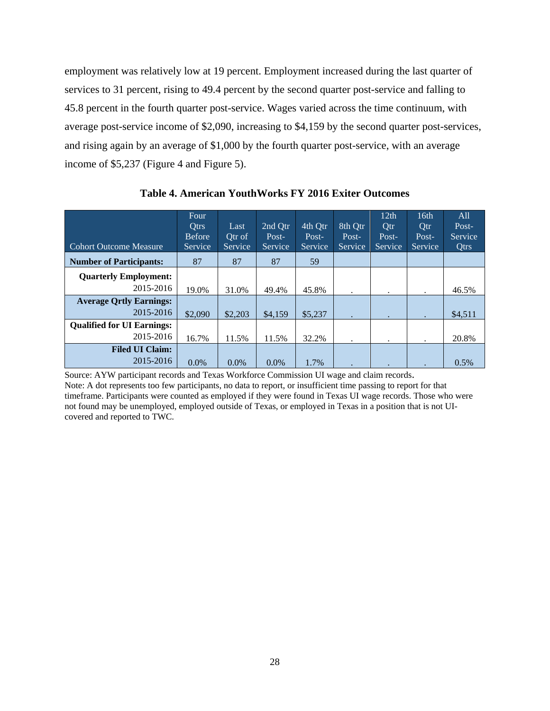employment was relatively low at 19 percent. Employment increased during the last quarter of services to 31 percent, rising to 49.4 percent by the second quarter post-service and falling to 45.8 percent in the fourth quarter post-service. Wages varied across the time continuum, with average post-service income of \$2,090, increasing to \$4,159 by the second quarter post-services, and rising again by an average of \$1,000 by the fourth quarter post-service, with an average income of \$5,237 (Figure 4 and Figure 5).

<span id="page-30-0"></span>

| <b>Cohort Outcome Measure</b>     | Four<br>Otrs<br><b>Before</b><br>Service | Last<br>Otr of<br><b>Service</b> | 2nd Otr<br>$Post-$<br>Service | 4th Qtr<br>Post-<br>Service | 8th Qtr<br>Post-<br>Service | 12 <sub>th</sub><br>Qtr<br>Post-<br>Service | 16th<br>Qtr<br>Post-<br>Service | A <sup>11</sup><br>Post-<br><b>Service</b><br><b>Qtrs</b> |
|-----------------------------------|------------------------------------------|----------------------------------|-------------------------------|-----------------------------|-----------------------------|---------------------------------------------|---------------------------------|-----------------------------------------------------------|
| <b>Number of Participants:</b>    | 87                                       | 87                               | 87                            | 59                          |                             |                                             |                                 |                                                           |
| <b>Quarterly Employment:</b>      |                                          |                                  |                               |                             |                             |                                             |                                 |                                                           |
| 2015-2016                         | 19.0%                                    | 31.0%                            | 49.4%                         | 45.8%                       | $\cdot$                     | $\cdot$                                     | $\cdot$                         | 46.5%                                                     |
| <b>Average Qrtly Earnings:</b>    |                                          |                                  |                               |                             |                             |                                             |                                 |                                                           |
| 2015-2016                         | \$2,090                                  | \$2,203                          | \$4,159                       | \$5,237                     | $\bullet$                   | $\bullet$                                   | $\bullet$                       | \$4,511                                                   |
| <b>Qualified for UI Earnings:</b> |                                          |                                  |                               |                             |                             |                                             |                                 |                                                           |
| 2015-2016                         | 16.7%                                    | 11.5%                            | 11.5%                         | 32.2%                       | $\cdot$                     | $\cdot$                                     | $\cdot$                         | 20.8%                                                     |
| <b>Filed UI Claim:</b>            |                                          |                                  |                               |                             |                             |                                             |                                 |                                                           |
| 2015-2016                         | $0.0\%$                                  | $0.0\%$                          | $0.0\%$                       | 1.7%                        | $\bullet$                   |                                             |                                 | 0.5%                                                      |

**Table 4. American YouthWorks FY 2016 Exiter Outcomes**

Source: AYW participant records and Texas Workforce Commission UI wage and claim records. Note: A dot represents too few participants, no data to report, or insufficient time passing to report for that timeframe. Participants were counted as employed if they were found in Texas UI wage records. Those who were not found may be unemployed, employed outside of Texas, or employed in Texas in a position that is not UIcovered and reported to TWC.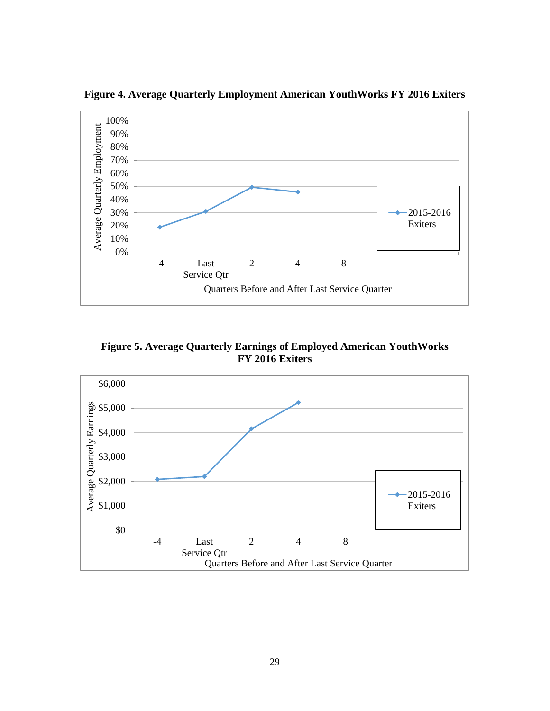<span id="page-31-0"></span>

**Figure 4. Average Quarterly Employment American YouthWorks FY 2016 Exiters**

**Figure 5. Average Quarterly Earnings of Employed American YouthWorks FY 2016 Exiters**

<span id="page-31-1"></span>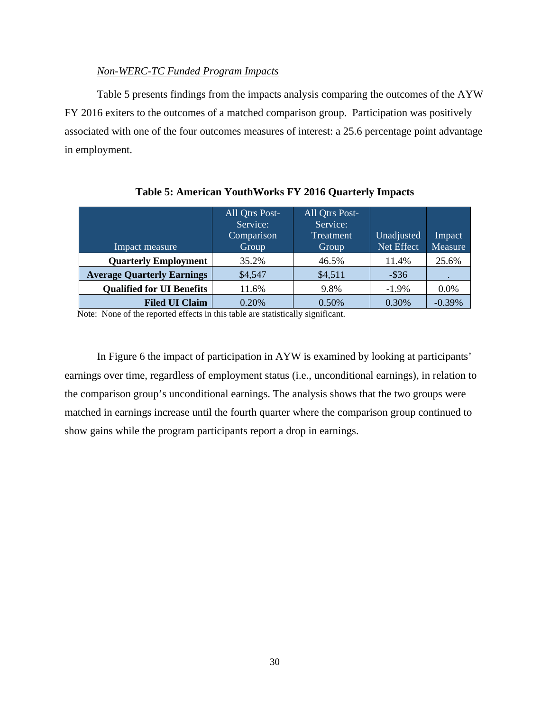#### *Non-WERC-TC Funded Program Impacts*

Table 5 presents findings from the impacts analysis comparing the outcomes of the AYW FY 2016 exiters to the outcomes of a matched comparison group. Participation was positively associated with one of the four outcomes measures of interest: a 25.6 percentage point advantage in employment.

<span id="page-32-0"></span>

| Impact measure                    | All Qtrs Post-<br>Service:<br>Comparison<br>Group | All Qtrs Post-<br>Service:<br><b>Treatment</b><br>Group | Unadjusted<br>Net Effect | Impact<br>Measure |
|-----------------------------------|---------------------------------------------------|---------------------------------------------------------|--------------------------|-------------------|
| <b>Quarterly Employment</b>       | 35.2%                                             | 46.5%                                                   | 11.4%                    | 25.6%             |
| <b>Average Quarterly Earnings</b> | \$4,547                                           | \$4,511                                                 | $-$ \$36                 |                   |
| <b>Qualified for UI Benefits</b>  | 11.6%                                             | 9.8%                                                    | $-1.9\%$                 | $0.0\%$           |
| <b>Filed UI Claim</b>             | 0.20%                                             | 0.50%                                                   | 0.30%                    | $-0.39%$          |

**Table 5: American YouthWorks FY 2016 Quarterly Impacts**

Note: None of the reported effects in this table are statistically significant.

In Figure 6 the impact of participation in AYW is examined by looking at participants' earnings over time, regardless of employment status (i.e., unconditional earnings), in relation to the comparison group's unconditional earnings. The analysis shows that the two groups were matched in earnings increase until the fourth quarter where the comparison group continued to show gains while the program participants report a drop in earnings.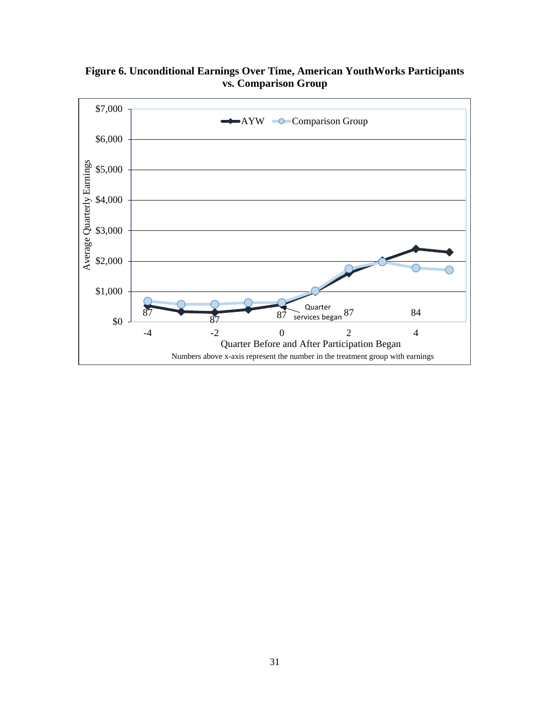

<span id="page-33-0"></span>**Figure 6. Unconditional Earnings Over Time, American YouthWorks Participants vs. Comparison Group**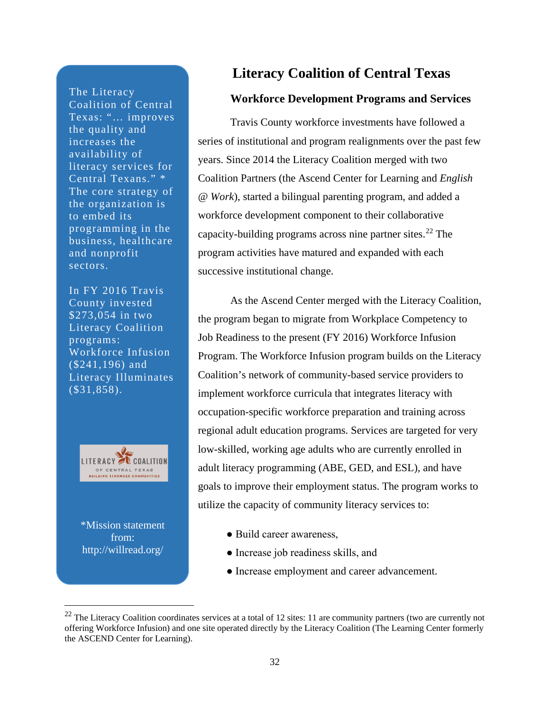<span id="page-34-0"></span>The Literacy Coalition of Central Texas: "… improves the quality and increases the availability of literacy services for Central Texans." \* The core strategy of the organization is to embed its programming in the business, healthcare and nonprofit sectors.

In FY 2016 Travis County invested \$273,054 in two Literacy Coalition programs: Workforce Infusion (\$241,196) and Literacy Illuminates (\$31,858).



\*Mission statement from: http://willread.org/

 $\overline{a}$ 

### **Literacy Coalition of Central Texas**

#### **Workforce Development Programs and Services**

<span id="page-34-1"></span>Travis County workforce investments have followed a series of institutional and program realignments over the past few years. Since 2014 the Literacy Coalition merged with two Coalition Partners (the Ascend Center for Learning and *English @ Work*), started a bilingual parenting program, and added a workforce development component to their collaborative capacity-building programs across nine partner sites.<sup>[22](#page-34-2)</sup> The program activities have matured and expanded with each successive institutional change.

As the Ascend Center merged with the Literacy Coalition, the program began to migrate from Workplace Competency to Job Readiness to the present (FY 2016) Workforce Infusion Program. The Workforce Infusion program builds on the Literacy Coalition's network of community-based service providers to implement workforce curricula that integrates literacy with occupation-specific workforce preparation and training across regional adult education programs. Services are targeted for very low-skilled, working age adults who are currently enrolled in adult literacy programming (ABE, GED, and ESL), and have goals to improve their employment status. The program works to utilize the capacity of community literacy services to:

- Build career awareness,
- Increase job readiness skills, and
- Increase employment and career advancement.

<span id="page-34-2"></span><sup>&</sup>lt;sup>22</sup> The Literacy Coalition coordinates services at a total of 12 sites: 11 are community partners (two are currently not offering Workforce Infusion) and one site operated directly by the Literacy Coalition (The Learning Center formerly the ASCEND Center for Learning).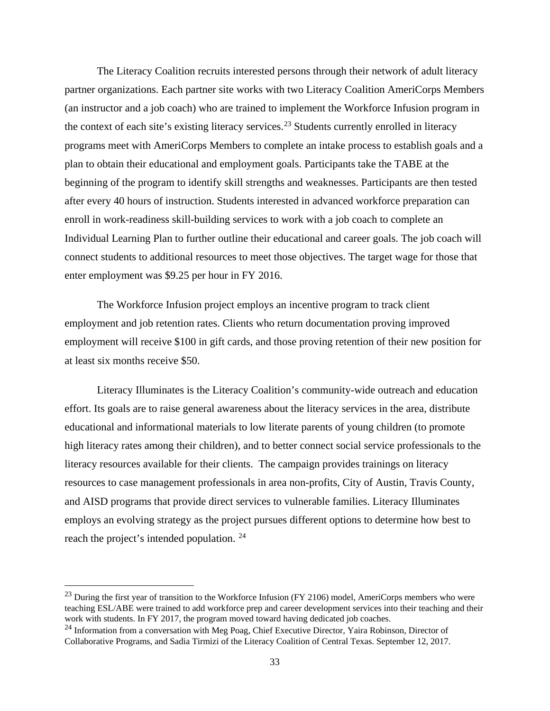The Literacy Coalition recruits interested persons through their network of adult literacy partner organizations. Each partner site works with two Literacy Coalition AmeriCorps Members (an instructor and a job coach) who are trained to implement the Workforce Infusion program in the context of each site's existing literacy services.<sup>[23](#page-35-0)</sup> Students currently enrolled in literacy programs meet with AmeriCorps Members to complete an intake process to establish goals and a plan to obtain their educational and employment goals. Participants take the TABE at the beginning of the program to identify skill strengths and weaknesses. Participants are then tested after every 40 hours of instruction. Students interested in advanced workforce preparation can enroll in work-readiness skill-building services to work with a job coach to complete an Individual Learning Plan to further outline their educational and career goals. The job coach will connect students to additional resources to meet those objectives. The target wage for those that enter employment was \$9.25 per hour in FY 2016.

The Workforce Infusion project employs an incentive program to track client employment and job retention rates. Clients who return documentation proving improved employment will receive \$100 in gift cards, and those proving retention of their new position for at least six months receive \$50.

Literacy Illuminates is the Literacy Coalition's community-wide outreach and education effort. Its goals are to raise general awareness about the literacy services in the area, distribute educational and informational materials to low literate parents of young children (to promote high literacy rates among their children), and to better connect social service professionals to the literacy resources available for their clients. The campaign provides trainings on literacy resources to case management professionals in area non-profits, City of Austin, Travis County, and AISD programs that provide direct services to vulnerable families. Literacy Illuminates employs an evolving strategy as the project pursues different options to determine how best to reach the project's intended population. [24](#page-35-1)

 $\overline{a}$ 

<span id="page-35-0"></span><sup>&</sup>lt;sup>23</sup> During the first year of transition to the Workforce Infusion (FY 2106) model, AmeriCorps members who were teaching ESL/ABE were trained to add workforce prep and career development services into their teaching and their work with students. In FY 2017, the program moved toward having dedicated job coaches.

<span id="page-35-1"></span><sup>&</sup>lt;sup>24</sup> Information from a conversation with Meg Poag, Chief Executive Director, Yaira Robinson, Director of Collaborative Programs, and Sadia Tirmizi of the Literacy Coalition of Central Texas. September 12, 2017.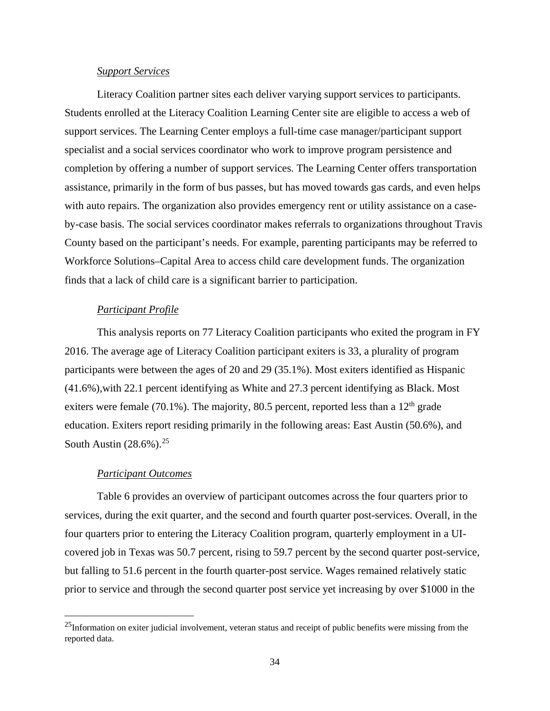# *Support Services*

Literacy Coalition partner sites each deliver varying support services to participants. Students enrolled at the Literacy Coalition Learning Center site are eligible to access a web of support services. The Learning Center employs a full-time case manager/participant support specialist and a social services coordinator who work to improve program persistence and completion by offering a number of support services. The Learning Center offers transportation assistance, primarily in the form of bus passes, but has moved towards gas cards, and even helps with auto repairs. The organization also provides emergency rent or utility assistance on a caseby-case basis. The social services coordinator makes referrals to organizations throughout Travis County based on the participant's needs. For example, parenting participants may be referred to Workforce Solutions–Capital Area to access child care development funds. The organization finds that a lack of child care is a significant barrier to participation.

# *Participant Profile*

This analysis reports on 77 Literacy Coalition participants who exited the program in FY 2016. The average age of Literacy Coalition participant exiters is 33, a plurality of program participants were between the ages of 20 and 29 (35.1%). Most exiters identified as Hispanic (41.6%),with 22.1 percent identifying as White and 27.3 percent identifying as Black. Most exiters were female (70.1%). The majority, 80.5 percent, reported less than a  $12<sup>th</sup>$  grade education. Exiters report residing primarily in the following areas: East Austin (50.6%), and South Austin  $(28.6\%)$ .<sup>[25](#page-36-0)</sup>

#### *Participant Outcomes*

 $\overline{a}$ 

Table 6 provides an overview of participant outcomes across the four quarters prior to services, during the exit quarter, and the second and fourth quarter post-services. Overall, in the four quarters prior to entering the Literacy Coalition program, quarterly employment in a UIcovered job in Texas was 50.7 percent, rising to 59.7 percent by the second quarter post-service, but falling to 51.6 percent in the fourth quarter-post service. Wages remained relatively static prior to service and through the second quarter post service yet increasing by over \$1000 in the

<span id="page-36-0"></span> $25$ Information on exiter judicial involvement, veteran status and receipt of public benefits were missing from the reported data.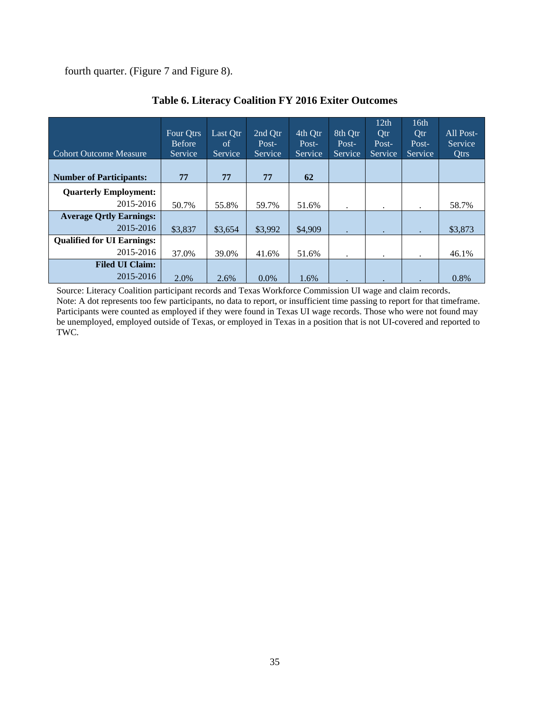fourth quarter. (Figure 7 and Figure 8).

| Cohort Outcome Measure            | Four Qtrs<br><b>Before</b><br>Service | Last Qtr<br>of<br>Service | 2nd Qtr<br>Post-<br>Service | 4th Qtr<br>Post-<br>Service | 8th Qtr<br>Post-<br>Service | 12th<br>Qtr<br>Post-<br>Service | 16 <sub>th</sub><br>Otr<br>Post-<br>Service | All Post-<br>Service<br>Qtrs |
|-----------------------------------|---------------------------------------|---------------------------|-----------------------------|-----------------------------|-----------------------------|---------------------------------|---------------------------------------------|------------------------------|
| <b>Number of Participants:</b>    | 77                                    | 77                        | 77                          | 62                          |                             |                                 |                                             |                              |
| <b>Quarterly Employment:</b>      |                                       |                           |                             |                             |                             |                                 |                                             |                              |
| 2015-2016                         | 50.7%                                 | 55.8%                     | 59.7%                       | 51.6%                       |                             | $\ddot{\phantom{0}}$            | $\cdot$                                     | 58.7%                        |
| <b>Average Qrtly Earnings:</b>    |                                       |                           |                             |                             |                             |                                 |                                             |                              |
| 2015-2016                         | \$3,837                               | \$3,654                   | \$3,992                     | \$4,909                     | $\ddot{\phantom{0}}$        | $\bullet$                       | $\bullet$                                   | \$3,873                      |
| <b>Qualified for UI Earnings:</b> |                                       |                           |                             |                             |                             |                                 |                                             |                              |
| 2015-2016                         | 37.0%                                 | 39.0%                     | 41.6%                       | 51.6%                       | $\ddot{\phantom{0}}$        | $\ddot{\phantom{0}}$            |                                             | 46.1%                        |
| <b>Filed UI Claim:</b>            |                                       |                           |                             |                             |                             |                                 |                                             |                              |
| 2015-2016                         | 2.0%                                  | 2.6%                      | $0.0\%$                     | 1.6%                        |                             |                                 | $\bullet$                                   | 0.8%                         |

# **Table 6. Literacy Coalition FY 2016 Exiter Outcomes**

Source: Literacy Coalition participant records and Texas Workforce Commission UI wage and claim records. Note: A dot represents too few participants, no data to report, or insufficient time passing to report for that timeframe. Participants were counted as employed if they were found in Texas UI wage records. Those who were not found may be unemployed, employed outside of Texas, or employed in Texas in a position that is not UI-covered and reported to TWC.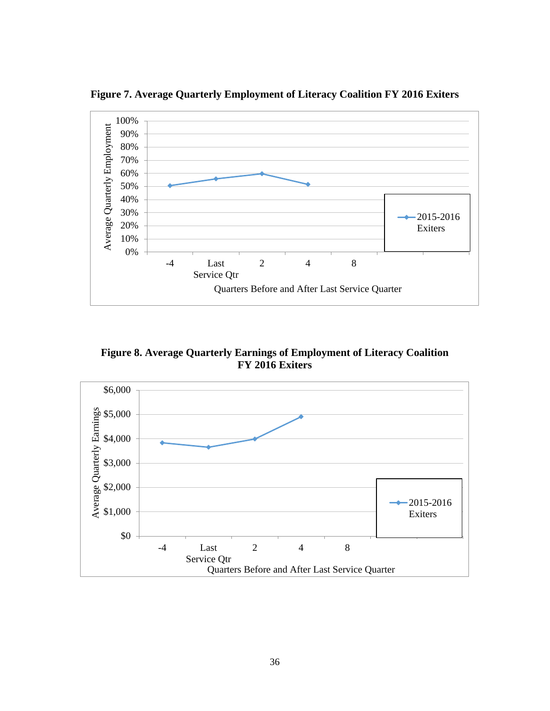**Figure 7. Average Quarterly Employment of Literacy Coalition FY 2016 Exiters**



**Figure 8. Average Quarterly Earnings of Employment of Literacy Coalition FY 2016 Exiters**

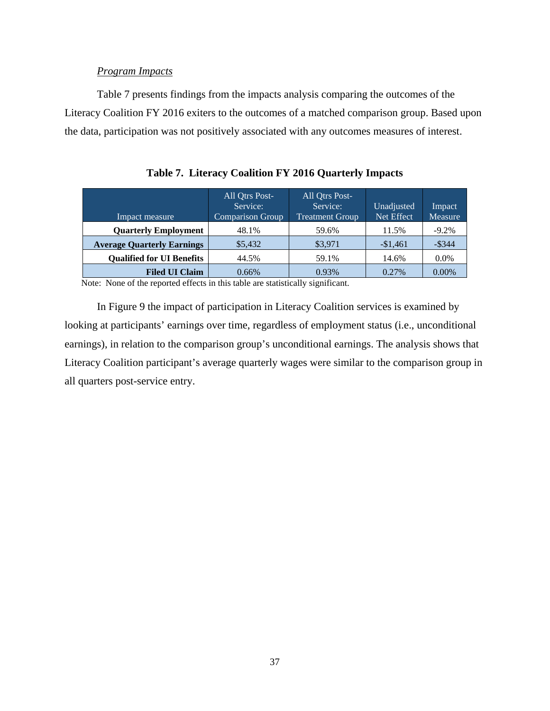# *Program Impacts*

Table 7 presents findings from the impacts analysis comparing the outcomes of the Literacy Coalition FY 2016 exiters to the outcomes of a matched comparison group. Based upon the data, participation was not positively associated with any outcomes measures of interest.

| Impact measure                    | All Qtrs Post-<br>Service:<br><b>Comparison Group</b> | All Qtrs Post-<br>Service:<br><b>Treatment Group</b> | Unadjusted<br>Net Effect | Impact<br>Measure |
|-----------------------------------|-------------------------------------------------------|------------------------------------------------------|--------------------------|-------------------|
| <b>Quarterly Employment</b>       | 48.1%                                                 | 59.6%                                                | 11.5%                    | $-9.2%$           |
| <b>Average Quarterly Earnings</b> | \$5,432                                               | \$3,971                                              | $-$1,461$                | $-$ \$344         |
| <b>Qualified for UI Benefits</b>  | 44.5%                                                 | 59.1%                                                | 14.6%                    | $0.0\%$           |
| <b>Filed UI Claim</b>             | 0.66%                                                 | 0.93%                                                | 0.27%                    | $0.00\%$          |

**Table 7. Literacy Coalition FY 2016 Quarterly Impacts**

Note: None of the reported effects in this table are statistically significant.

In Figure 9 the impact of participation in Literacy Coalition services is examined by looking at participants' earnings over time, regardless of employment status (i.e., unconditional earnings), in relation to the comparison group's unconditional earnings. The analysis shows that Literacy Coalition participant's average quarterly wages were similar to the comparison group in all quarters post-service entry.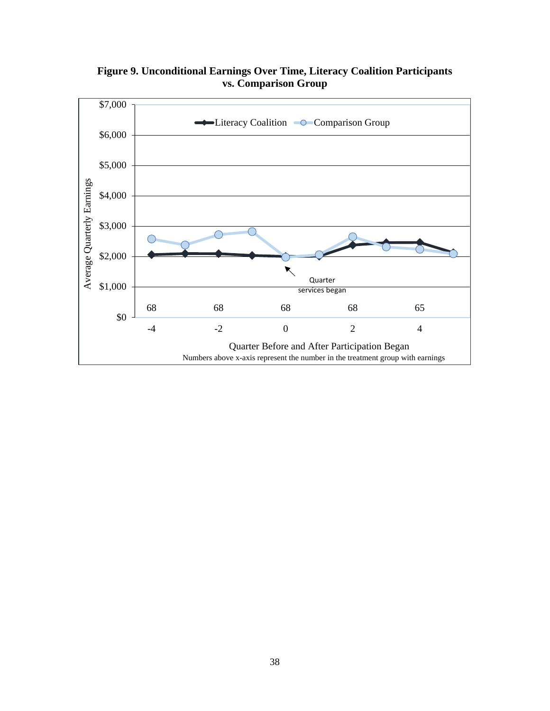

**Figure 9. Unconditional Earnings Over Time, Literacy Coalition Participants vs. Comparison Group**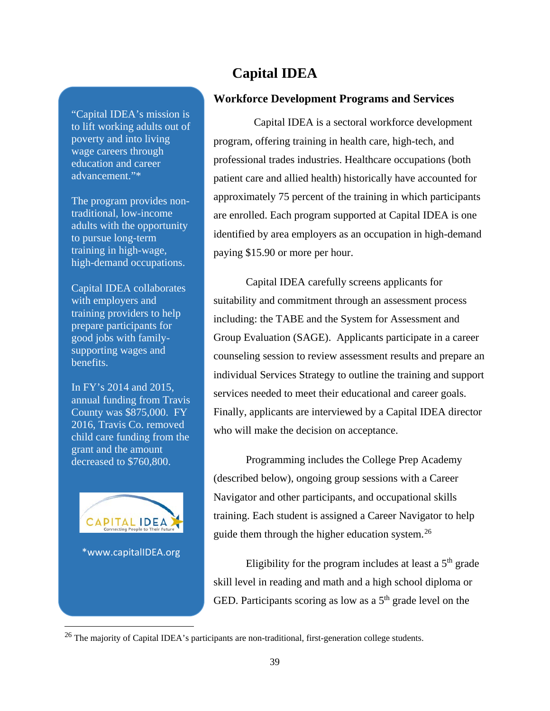"Capital IDEA's mission is to lift working adults out of poverty and into living wage careers through education and career advancement."\*

The program provides nontraditional, low-income adults with the opportunity to pursue long-term training in high-wage, high-demand occupations.

Capital IDEA collaborates with employers and training providers to help prepare participants for good jobs with familysupporting wages and benefits.

In FY's 2014 and 2015, annual funding from Travis County was \$875,000. FY 2016, Travis Co. removed child care funding from the grant and the amount decreased to \$760,800.



 $\overline{a}$ 

# **Capital IDEA**

# **Workforce Development Programs and Services**

Capital IDEA is a sectoral workforce development program, offering training in health care, high-tech, and professional trades industries. Healthcare occupations (both patient care and allied health) historically have accounted for approximately 75 percent of the training in which participants are enrolled. Each program supported at Capital IDEA is one identified by area employers as an occupation in high-demand paying \$15.90 or more per hour.

Capital IDEA carefully screens applicants for suitability and commitment through an assessment process including: the TABE and the System for Assessment and Group Evaluation (SAGE). Applicants participate in a career counseling session to review assessment results and prepare an individual Services Strategy to outline the training and support services needed to meet their educational and career goals. Finally, applicants are interviewed by a Capital IDEA director who will make the decision on acceptance.

Programming includes the College Prep Academy (described below), ongoing group sessions with a Career Navigator and other participants, and occupational skills training. Each student is assigned a Career Navigator to help guide them through the higher education system.<sup>[26](#page-41-0)</sup>

Eligibility for the program includes at least a  $5<sup>th</sup>$  grade skill level in reading and math and a high school diploma or GED. Participants scoring as low as a  $5<sup>th</sup>$  grade level on the

<span id="page-41-0"></span> $^{26}$  The majority of Capital IDEA's participants are non-traditional, first-generation college students.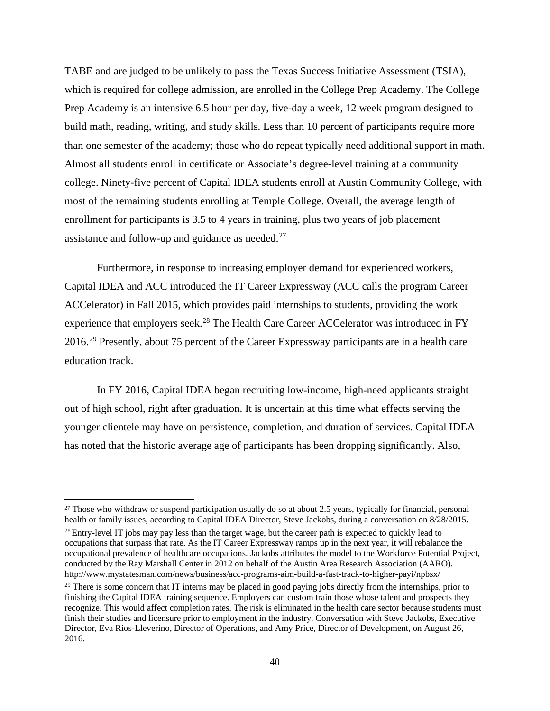TABE and are judged to be unlikely to pass the Texas Success Initiative Assessment (TSIA), which is required for college admission, are enrolled in the College Prep Academy. The College Prep Academy is an intensive 6.5 hour per day, five-day a week, 12 week program designed to build math, reading, writing, and study skills. Less than 10 percent of participants require more than one semester of the academy; those who do repeat typically need additional support in math. Almost all students enroll in certificate or Associate's degree-level training at a community college. Ninety-five percent of Capital IDEA students enroll at Austin Community College, with most of the remaining students enrolling at Temple College. Overall, the average length of enrollment for participants is 3.5 to 4 years in training, plus two years of job placement assistance and follow-up and guidance as needed. $27$ 

Furthermore, in response to increasing employer demand for experienced workers, Capital IDEA and ACC introduced the IT Career Expressway (ACC calls the program Career ACCelerator) in Fall 2015, which provides paid internships to students, providing the work experience that employers seek.<sup>[28](#page-42-1)</sup> The Health Care Career ACCelerator was introduced in FY 2016.[29](#page-42-2) Presently, about 75 percent of the Career Expressway participants are in a health care education track.

In FY 2016, Capital IDEA began recruiting low-income, high-need applicants straight out of high school, right after graduation. It is uncertain at this time what effects serving the younger clientele may have on persistence, completion, and duration of services. Capital IDEA has noted that the historic average age of participants has been dropping significantly. Also,

 $\overline{a}$ 

<span id="page-42-0"></span><sup>&</sup>lt;sup>27</sup> Those who withdraw or suspend participation usually do so at about 2.5 years, typically for financial, personal health or family issues, according to Capital IDEA Director, Steve Jackobs, during a conversation on 8/28/2015.

<span id="page-42-1"></span><sup>&</sup>lt;sup>28</sup> Entry-level IT jobs may pay less than the target wage, but the career path is expected to quickly lead to occupations that surpass that rate. As the IT Career Expressway ramps up in the next year, it will rebalance the occupational prevalence of healthcare occupations. Jackobs attributes the model to the Workforce Potential Project, conducted by the Ray Marshall Center in 2012 on behalf of the Austin Area Research Association (AARO). <http://www.mystatesman.com/news/business/acc-programs-aim-build-a-fast-track-to-higher-payi/npbsx/>

<span id="page-42-2"></span> $29$  There is some concern that IT interns may be placed in good paying jobs directly from the internships, prior to finishing the Capital IDEA training sequence. Employers can custom train those whose talent and prospects they recognize. This would affect completion rates. The risk is eliminated in the health care sector because students must finish their studies and licensure prior to employment in the industry. Conversation with Steve Jackobs, Executive Director, Eva Rios-Lleverino, Director of Operations, and Amy Price, Director of Development, on August 26, 2016.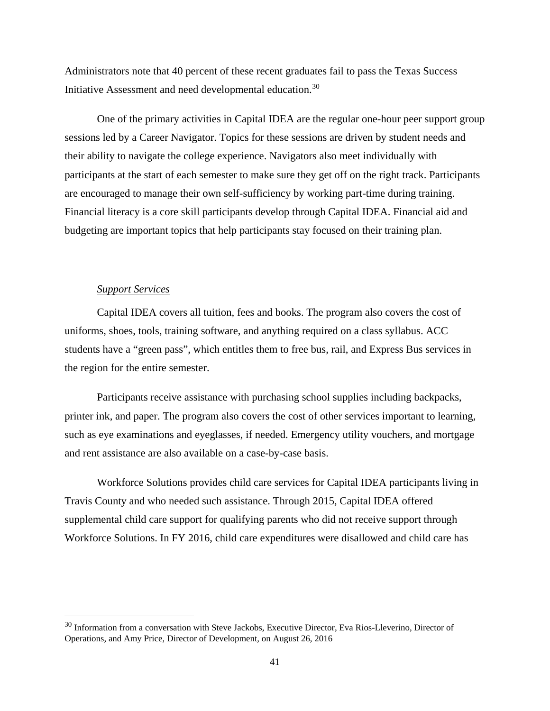Administrators note that 40 percent of these recent graduates fail to pass the Texas Success Initiative Assessment and need developmental education.[30](#page-43-0)

One of the primary activities in Capital IDEA are the regular one-hour peer support group sessions led by a Career Navigator. Topics for these sessions are driven by student needs and their ability to navigate the college experience. Navigators also meet individually with participants at the start of each semester to make sure they get off on the right track. Participants are encouraged to manage their own self-sufficiency by working part-time during training. Financial literacy is a core skill participants develop through Capital IDEA. Financial aid and budgeting are important topics that help participants stay focused on their training plan.

#### *Support Services*

 $\overline{a}$ 

Capital IDEA covers all tuition, fees and books. The program also covers the cost of uniforms, shoes, tools, training software, and anything required on a class syllabus. ACC students have a "green pass", which entitles them to free bus, rail, and Express Bus services in the region for the entire semester.

Participants receive assistance with purchasing school supplies including backpacks, printer ink, and paper. The program also covers the cost of other services important to learning, such as eye examinations and eyeglasses, if needed. Emergency utility vouchers, and mortgage and rent assistance are also available on a case-by-case basis.

Workforce Solutions provides child care services for Capital IDEA participants living in Travis County and who needed such assistance. Through 2015, Capital IDEA offered supplemental child care support for qualifying parents who did not receive support through Workforce Solutions. In FY 2016, child care expenditures were disallowed and child care has

<span id="page-43-0"></span><sup>&</sup>lt;sup>30</sup> Information from a conversation with Steve Jackobs, Executive Director, Eva Rios-Lleverino, Director of Operations, and Amy Price, Director of Development, on August 26, 2016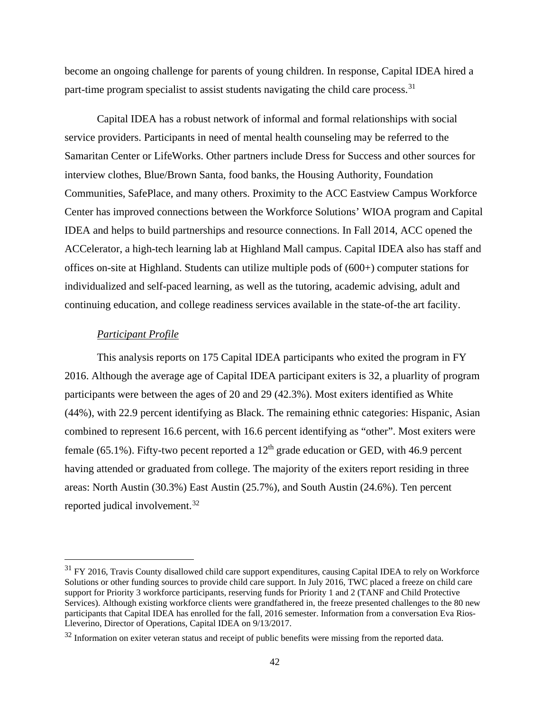become an ongoing challenge for parents of young children. In response, Capital IDEA hired a part-time program specialist to assist students navigating the child care process.<sup>[31](#page-44-0)</sup>

Capital IDEA has a robust network of informal and formal relationships with social service providers. Participants in need of mental health counseling may be referred to the Samaritan Center or LifeWorks. Other partners include Dress for Success and other sources for interview clothes, Blue/Brown Santa, food banks, the Housing Authority, Foundation Communities, SafePlace, and many others. Proximity to the ACC Eastview Campus Workforce Center has improved connections between the Workforce Solutions' WIOA program and Capital IDEA and helps to build partnerships and resource connections. In Fall 2014, ACC opened the ACCelerator, a high-tech learning lab at Highland Mall campus. Capital IDEA also has staff and offices on-site at Highland. Students can utilize multiple pods of (600+) computer stations for individualized and self-paced learning, as well as the tutoring, academic advising, adult and continuing education, and college readiness services available in the state-of-the art facility.

#### *Participant Profile*

 $\overline{a}$ 

This analysis reports on 175 Capital IDEA participants who exited the program in FY 2016. Although the average age of Capital IDEA participant exiters is 32, a pluarlity of program participants were between the ages of 20 and 29 (42.3%). Most exiters identified as White (44%), with 22.9 percent identifying as Black. The remaining ethnic categories: Hispanic, Asian combined to represent 16.6 percent, with 16.6 percent identifying as "other". Most exiters were female (65.1%). Fifty-two pecent reported a  $12<sup>th</sup>$  grade education or GED, with 46.9 percent having attended or graduated from college. The majority of the exiters report residing in three areas: North Austin (30.3%) East Austin (25.7%), and South Austin (24.6%). Ten percent reported judical involvement.<sup>[32](#page-44-1)</sup>

<span id="page-44-0"></span><sup>&</sup>lt;sup>31</sup> FY 2016, Travis County disallowed child care support expenditures, causing Capital IDEA to rely on Workforce Solutions or other funding sources to provide child care support. In July 2016, TWC placed a freeze on child care support for Priority 3 workforce participants, reserving funds for Priority 1 and 2 (TANF and Child Protective Services). Although existing workforce clients were grandfathered in, the freeze presented challenges to the 80 new participants that Capital IDEA has enrolled for the fall, 2016 semester. Information from a conversation Eva Rios-Lleverino, Director of Operations, Capital IDEA on 9/13/2017.

<span id="page-44-1"></span><sup>&</sup>lt;sup>32</sup> Information on exiter veteran status and receipt of public benefits were missing from the reported data.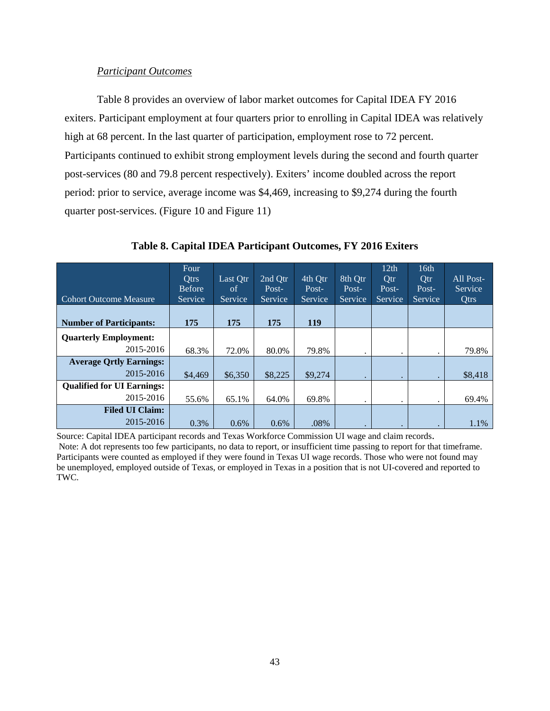# *Participant Outcomes*

Table 8 provides an overview of labor market outcomes for Capital IDEA FY 2016 exiters. Participant employment at four quarters prior to enrolling in Capital IDEA was relatively high at 68 percent. In the last quarter of participation, employment rose to 72 percent. Participants continued to exhibit strong employment levels during the second and fourth quarter post-services (80 and 79.8 percent respectively). Exiters' income doubled across the report period: prior to service, average income was \$4,469, increasing to \$9,274 during the fourth quarter post-services. (Figure 10 and Figure 11)

|                                   | Four          |          |         |            |           | 12th      | 16th      |           |
|-----------------------------------|---------------|----------|---------|------------|-----------|-----------|-----------|-----------|
|                                   | Otrs          | Last Qtr | 2nd Qtr | 4th Qtr    | 8th Qtr   | Otr       | Qtr       | All Post- |
|                                   | <b>Before</b> | of       | Post-   | Post-      | Post-     | Post-     | Post-     | Service   |
| <b>Cohort Outcome Measure</b>     | Service       | Service  | Service | Service    | Service   | Service   | Service   | Qtrs      |
|                                   |               |          |         |            |           |           |           |           |
| <b>Number of Participants:</b>    | 175           | 175      | 175     | <b>119</b> |           |           |           |           |
| <b>Quarterly Employment:</b>      |               |          |         |            |           |           |           |           |
| 2015-2016                         | 68.3%         | 72.0%    | 80.0%   | 79.8%      | ٠         | ٠         | ٠         | 79.8%     |
| <b>Average Qrtly Earnings:</b>    |               |          |         |            |           |           |           |           |
| 2015-2016                         | \$4,469       | \$6,350  | \$8,225 | \$9,274    | $\bullet$ | $\bullet$ | $\bullet$ | \$8,418   |
| <b>Qualified for UI Earnings:</b> |               |          |         |            |           |           |           |           |
| 2015-2016                         | 55.6%         | 65.1%    | 64.0%   | 69.8%      | $\cdot$   |           | ٠         | 69.4%     |
| <b>Filed UI Claim:</b>            |               |          |         |            |           |           |           |           |
| 2015-2016                         | 0.3%          | 0.6%     | 0.6%    | .08%       |           | ٠         | ٠         | 1.1%      |

**Table 8. Capital IDEA Participant Outcomes, FY 2016 Exiters**

Source: Capital IDEA participant records and Texas Workforce Commission UI wage and claim records.

Note: A dot represents too few participants, no data to report, or insufficient time passing to report for that timeframe. Participants were counted as employed if they were found in Texas UI wage records. Those who were not found may be unemployed, employed outside of Texas, or employed in Texas in a position that is not UI-covered and reported to TWC.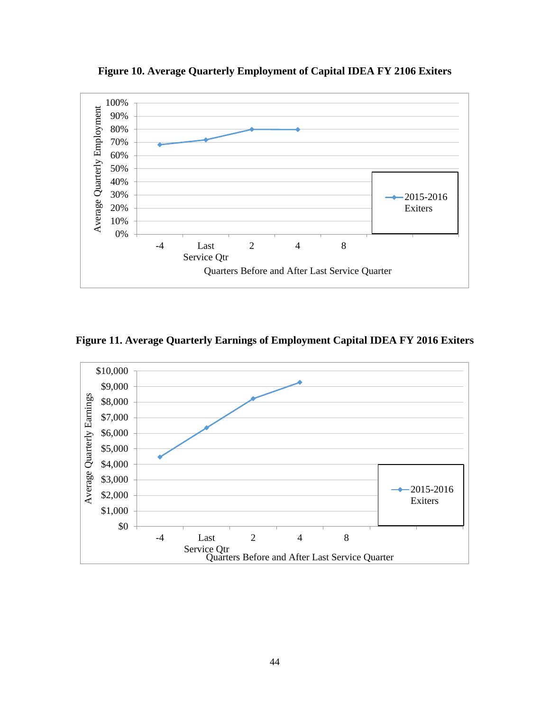

**Figure 10. Average Quarterly Employment of Capital IDEA FY 2106 Exiters**

**Figure 11. Average Quarterly Earnings of Employment Capital IDEA FY 2016 Exiters**

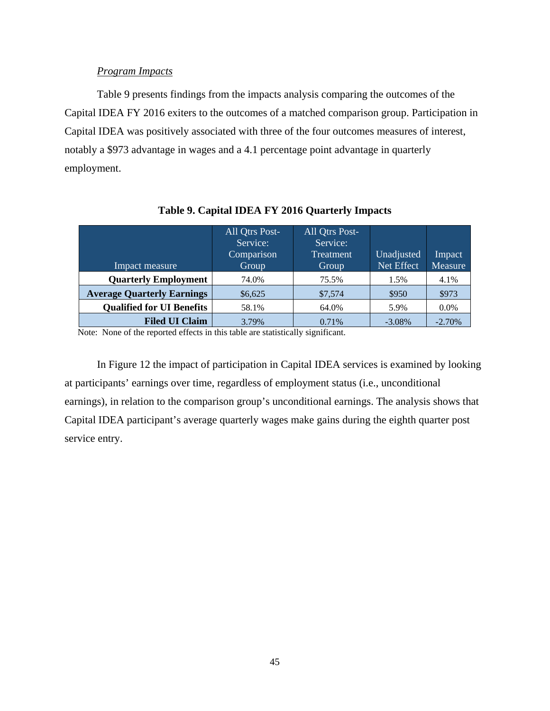# *Program Impacts*

Table 9 presents findings from the impacts analysis comparing the outcomes of the Capital IDEA FY 2016 exiters to the outcomes of a matched comparison group. Participation in Capital IDEA was positively associated with three of the four outcomes measures of interest, notably a \$973 advantage in wages and a 4.1 percentage point advantage in quarterly employment.

| Impact measure                    | All Otrs Post-<br>Service:<br>Comparison<br>Group | All Otrs Post-<br>Service:<br>Treatment<br>Group | Unadjusted<br>Net Effect | Impact<br>Measure |
|-----------------------------------|---------------------------------------------------|--------------------------------------------------|--------------------------|-------------------|
| <b>Quarterly Employment</b>       | 74.0%                                             | 75.5%                                            | 1.5%                     | 4.1%              |
| <b>Average Quarterly Earnings</b> | \$6,625                                           | \$7,574                                          | \$950                    | \$973             |
| <b>Qualified for UI Benefits</b>  | 58.1%                                             | 64.0%                                            | 5.9%                     | $0.0\%$           |
| <b>Filed UI Claim</b>             | 3.79%                                             | 0.71%                                            | $-3.08\%$                | $-2.70%$          |

**Table 9. Capital IDEA FY 2016 Quarterly Impacts**

Note: None of the reported effects in this table are statistically significant.

In Figure 12 the impact of participation in Capital IDEA services is examined by looking at participants' earnings over time, regardless of employment status (i.e., unconditional earnings), in relation to the comparison group's unconditional earnings. The analysis shows that Capital IDEA participant's average quarterly wages make gains during the eighth quarter post service entry.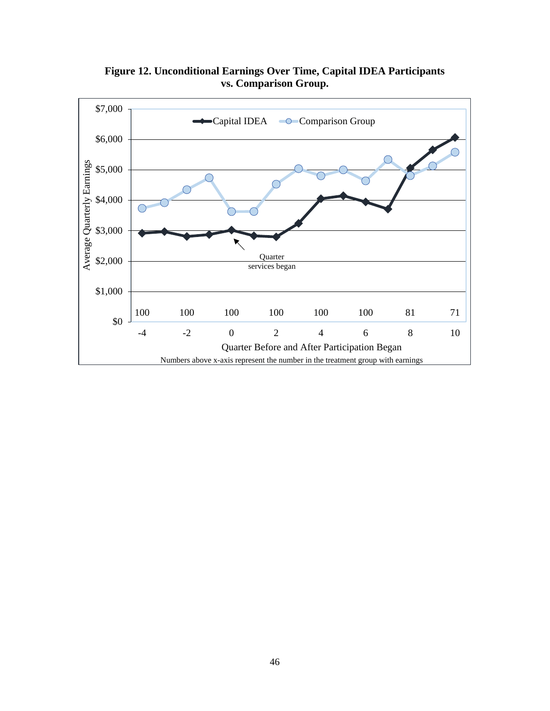

**Figure 12. Unconditional Earnings Over Time, Capital IDEA Participants vs. Comparison Group.**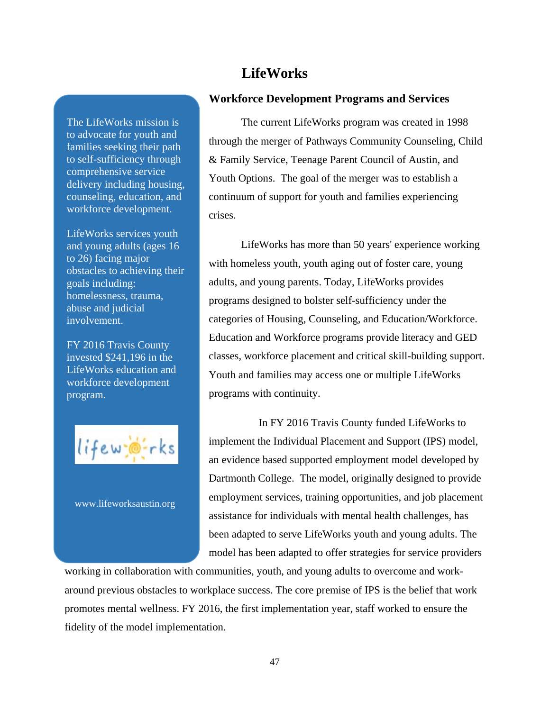LifeWorks has more than 50 years' experience working with homeless youth, youth aging out of foster care, young adults, and young parents. Today, LifeWorks provides programs designed to bolster self-sufficiency under the categories of Housing, Counseling, and Education/Workforce. Education and Workforce programs provide literacy and GED classes, workforce placement and critical skill-building support. Youth and families may access one or multiple LifeWorks programs with continuity.

In FY 2016 Travis County funded LifeWorks to implement the Individual Placement and Support (IPS) model, an evidence based supported employment model developed by Dartmonth College. The model, originally designed to provide employment services, training opportunities, and job placement assistance for individuals with mental health challenges, has been adapted to serve LifeWorks youth and young adults. The model has been adapted to offer strategies for service providers

working in collaboration with communities, youth, and young adults to overcome and workaround previous obstacles to workplace success. The core premise of IPS is the belief that work promotes mental wellness. FY 2016, the first implementation year, staff worked to ensure the fidelity of the model implementation.

The LifeWorks mission is to advocate for youth and families seeking their path to self-sufficiency through comprehensive service delivery including housing, counseling, education, and workforce development.

LifeWorks services youth and young adults (ages 16 to 26) facing major obstacles to achieving their goals including: homelessness, trauma, abuse and judicial involvement.

FY 2016 Travis County invested \$241,196 in the LifeWorks education and workforce development program.



www.lifeworksaustin.org

# **LifeWorks**

# **Workforce Development Programs and Services**

The current LifeWorks program was created in 1998 through the merger of Pathways Community Counseling, Child & Family Service, Teenage Parent Council of Austin, and Youth Options. The goal of the merger was to establish a continuum of support for youth and families experiencing crises.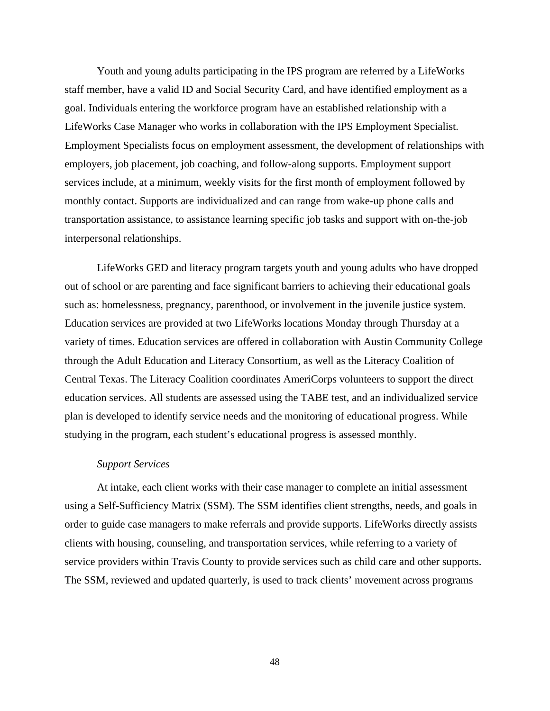Youth and young adults participating in the IPS program are referred by a LifeWorks staff member, have a valid ID and Social Security Card, and have identified employment as a goal. Individuals entering the workforce program have an established relationship with a LifeWorks Case Manager who works in collaboration with the IPS Employment Specialist. Employment Specialists focus on employment assessment, the development of relationships with employers, job placement, job coaching, and follow-along supports. Employment support services include, at a minimum, weekly visits for the first month of employment followed by monthly contact. Supports are individualized and can range from wake-up phone calls and transportation assistance, to assistance learning specific job tasks and support with on-the-job interpersonal relationships.

LifeWorks GED and literacy program targets youth and young adults who have dropped out of school or are parenting and face significant barriers to achieving their educational goals such as: homelessness, pregnancy, parenthood, or involvement in the juvenile justice system. Education services are provided at two LifeWorks locations Monday through Thursday at a variety of times. Education services are offered in collaboration with Austin Community College through the Adult Education and Literacy Consortium, as well as the Literacy Coalition of Central Texas. The Literacy Coalition coordinates AmeriCorps volunteers to support the direct education services. All students are assessed using the TABE test, and an individualized service plan is developed to identify service needs and the monitoring of educational progress. While studying in the program, each student's educational progress is assessed monthly.

#### *Support Services*

At intake, each client works with their case manager to complete an initial assessment using a Self-Sufficiency Matrix (SSM). The SSM identifies client strengths, needs, and goals in order to guide case managers to make referrals and provide supports. LifeWorks directly assists clients with housing, counseling, and transportation services, while referring to a variety of service providers within Travis County to provide services such as child care and other supports. The SSM, reviewed and updated quarterly, is used to track clients' movement across programs

48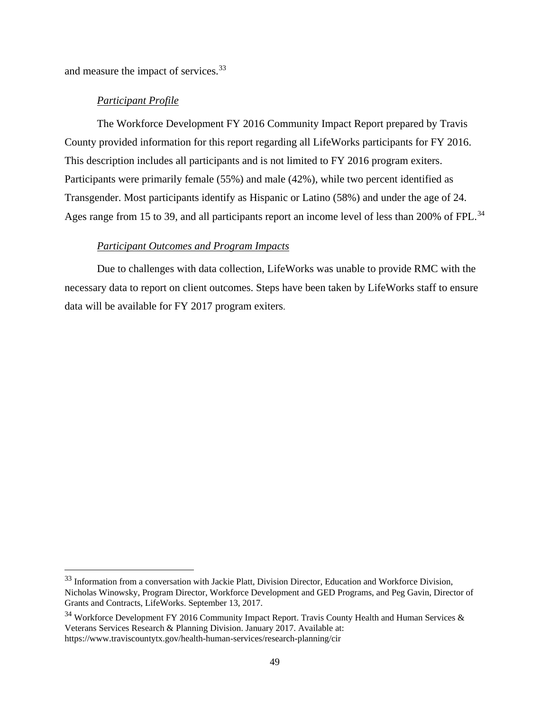and measure the impact of services.[33](#page-51-0)

## *Participant Profile*

 $\overline{a}$ 

The Workforce Development FY 2016 Community Impact Report prepared by Travis County provided information for this report regarding all LifeWorks participants for FY 2016. This description includes all participants and is not limited to FY 2016 program exiters. Participants were primarily female (55%) and male (42%), while two percent identified as Transgender. Most participants identify as Hispanic or Latino (58%) and under the age of 24. Ages range from 15 to 39, and all participants report an income level of less than 200% of FPL.<sup>[34](#page-51-1)</sup>

## *Participant Outcomes and Program Impacts*

Due to challenges with data collection, LifeWorks was unable to provide RMC with the necessary data to report on client outcomes. Steps have been taken by LifeWorks staff to ensure data will be available for FY 2017 program exiters.

<span id="page-51-0"></span><sup>&</sup>lt;sup>33</sup> Information from a conversation with Jackie Platt, Division Director, Education and Workforce Division, Nicholas Winowsky, Program Director, Workforce Development and GED Programs, and Peg Gavin, Director of Grants and Contracts, LifeWorks. September 13, 2017.

<span id="page-51-1"></span> $34$  Workforce Development FY 2016 Community Impact Report. Travis County Health and Human Services & Veterans Services Research & Planning Division. January 2017. Available at: https://www.traviscountytx.gov/health-human-services/research-planning/cir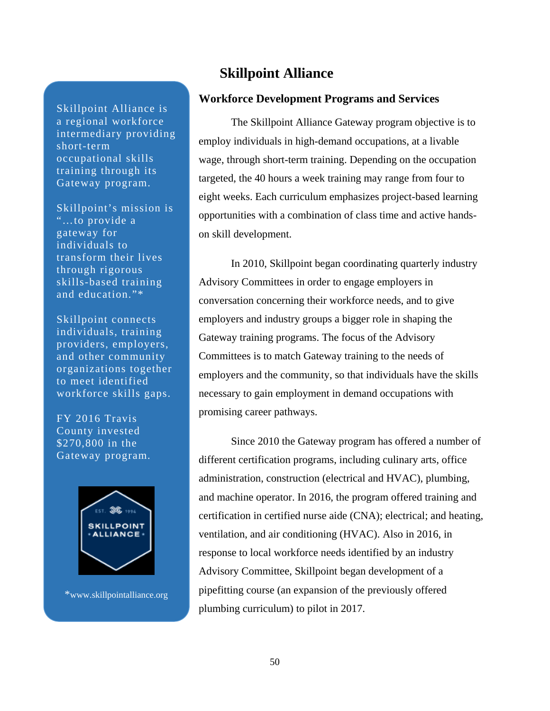Skillpoint Alliance is a regional workforce intermediary providing short-term occupational skills training through its Gateway program.

Skillpoint's mission is "…to provide a gateway for individuals to transform their lives through rigorous skills-based training and education."\*

Skillpoint connects individuals, training providers, employers, and other community organizations together to meet identified workforce skills gaps.

FY 2016 Travis County invested \$270,800 in the Gateway program.



\*www.skillpointalliance.org

# **Skillpoint Alliance**

# **Workforce Development Programs and Services**

The Skillpoint Alliance Gateway program objective is to employ individuals in high-demand occupations, at a livable wage, through short-term training. Depending on the occupation targeted, the 40 hours a week training may range from four to eight weeks. Each curriculum emphasizes project-based learning opportunities with a combination of class time and active handson skill development.

In 2010, Skillpoint began coordinating quarterly industry Advisory Committees in order to engage employers in conversation concerning their workforce needs, and to give employers and industry groups a bigger role in shaping the Gateway training programs. The focus of the Advisory Committees is to match Gateway training to the needs of employers and the community, so that individuals have the skills necessary to gain employment in demand occupations with promising career pathways.

Since 2010 the Gateway program has offered a number of different certification programs, including culinary arts, office administration, construction (electrical and HVAC), plumbing, and machine operator. In 2016, the program offered training and certification in certified nurse aide (CNA); electrical; and heating, ventilation, and air conditioning (HVAC). Also in 2016, in response to local workforce needs identified by an industry Advisory Committee, Skillpoint began development of a pipefitting course (an expansion of the previously offered plumbing curriculum) to pilot in 2017.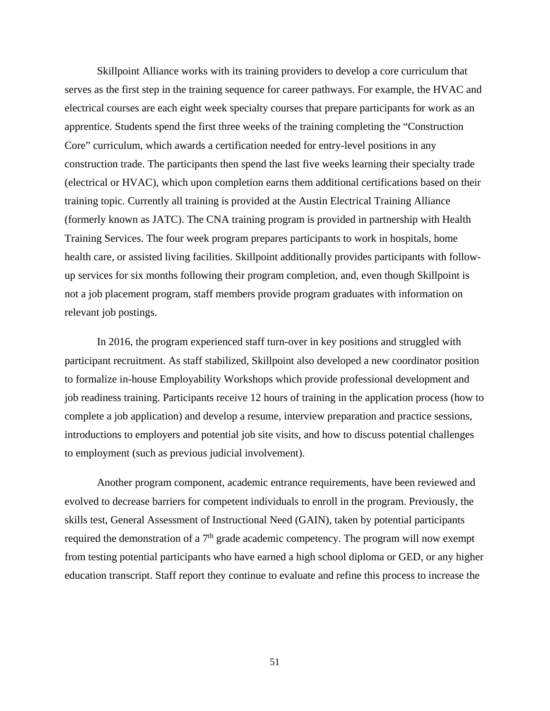Skillpoint Alliance works with its training providers to develop a core curriculum that serves as the first step in the training sequence for career pathways. For example, the HVAC and electrical courses are each eight week specialty courses that prepare participants for work as an apprentice. Students spend the first three weeks of the training completing the "Construction Core" curriculum, which awards a certification needed for entry-level positions in any construction trade. The participants then spend the last five weeks learning their specialty trade (electrical or HVAC), which upon completion earns them additional certifications based on their training topic. Currently all training is provided at the Austin Electrical Training Alliance (formerly known as JATC). The CNA training program is provided in partnership with Health Training Services. The four week program prepares participants to work in hospitals, home health care, or assisted living facilities. Skillpoint additionally provides participants with followup services for six months following their program completion, and, even though Skillpoint is not a job placement program, staff members provide program graduates with information on relevant job postings.

In 2016, the program experienced staff turn-over in key positions and struggled with participant recruitment. As staff stabilized, Skillpoint also developed a new coordinator position to formalize in-house Employability Workshops which provide professional development and job readiness training. Participants receive 12 hours of training in the application process (how to complete a job application) and develop a resume, interview preparation and practice sessions, introductions to employers and potential job site visits, and how to discuss potential challenges to employment (such as previous judicial involvement).

Another program component, academic entrance requirements, have been reviewed and evolved to decrease barriers for competent individuals to enroll in the program. Previously, the skills test, General Assessment of Instructional Need (GAIN), taken by potential participants required the demonstration of a  $7<sup>th</sup>$  grade academic competency. The program will now exempt from testing potential participants who have earned a high school diploma or GED, or any higher education transcript. Staff report they continue to evaluate and refine this process to increase the

51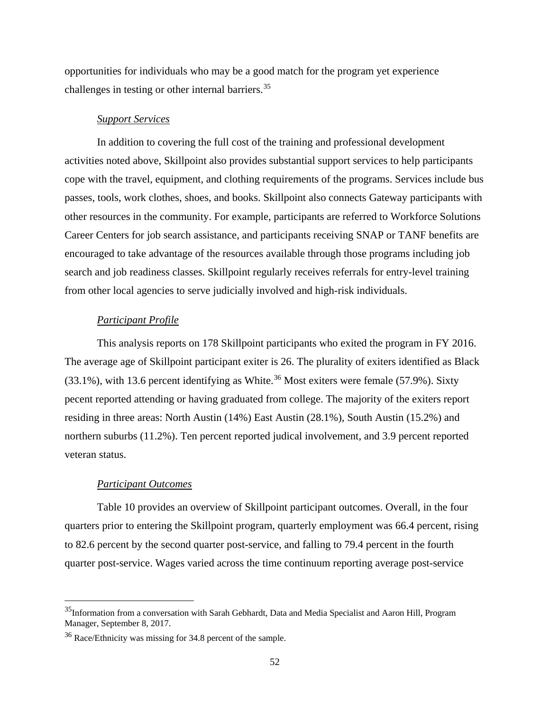opportunities for individuals who may be a good match for the program yet experience challenges in testing or other internal barriers.<sup>[35](#page-54-0)</sup>

## *Support Services*

In addition to covering the full cost of the training and professional development activities noted above, Skillpoint also provides substantial support services to help participants cope with the travel, equipment, and clothing requirements of the programs. Services include bus passes, tools, work clothes, shoes, and books. Skillpoint also connects Gateway participants with other resources in the community. For example, participants are referred to Workforce Solutions Career Centers for job search assistance, and participants receiving SNAP or TANF benefits are encouraged to take advantage of the resources available through those programs including job search and job readiness classes. Skillpoint regularly receives referrals for entry-level training from other local agencies to serve judicially involved and high-risk individuals.

# *Participant Profile*

This analysis reports on 178 Skillpoint participants who exited the program in FY 2016. The average age of Skillpoint participant exiter is 26. The plurality of exiters identified as Black  $(33.1\%)$ , with 13.6 percent identifying as White.<sup>[36](#page-54-1)</sup> Most exiters were female  $(57.9\%)$ . Sixty pecent reported attending or having graduated from college. The majority of the exiters report residing in three areas: North Austin (14%) East Austin (28.1%), South Austin (15.2%) and northern suburbs (11.2%). Ten percent reported judical involvement, and 3.9 percent reported veteran status.

# *Participant Outcomes*

 $\overline{a}$ 

Table 10 provides an overview of Skillpoint participant outcomes. Overall, in the four quarters prior to entering the Skillpoint program, quarterly employment was 66.4 percent, rising to 82.6 percent by the second quarter post-service, and falling to 79.4 percent in the fourth quarter post-service. Wages varied across the time continuum reporting average post-service

<span id="page-54-0"></span><sup>&</sup>lt;sup>35</sup>Information from a conversation with Sarah Gebhardt, Data and Media Specialist and Aaron Hill, Program Manager, September 8, 2017.

<span id="page-54-1"></span><sup>&</sup>lt;sup>36</sup> Race/Ethnicity was missing for 34.8 percent of the sample.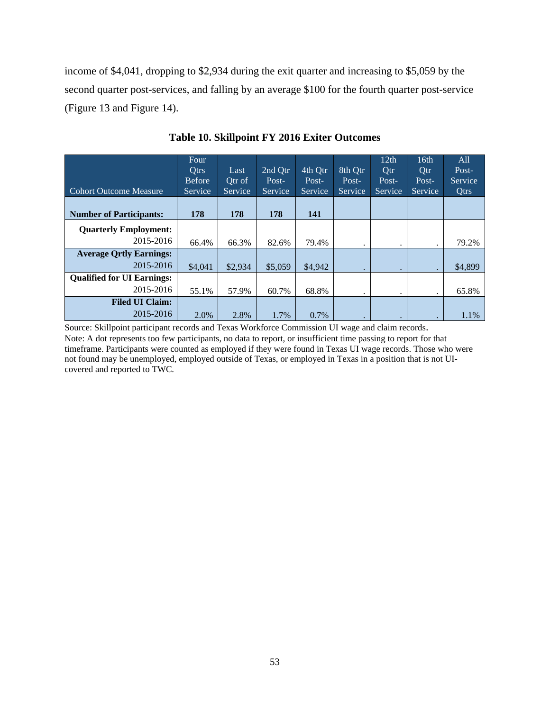income of \$4,041, dropping to \$2,934 during the exit quarter and increasing to \$5,059 by the second quarter post-services, and falling by an average \$100 for the fourth quarter post-service (Figure 13 and Figure 14).

|                                   | <b>Four</b><br>Qtrs      | Last              | 2nd Qtr          | 4th Qtr          | 8th Qtr                 | 12th<br>Qtr         | 16th<br>Qtr             | All<br>Post-           |
|-----------------------------------|--------------------------|-------------------|------------------|------------------|-------------------------|---------------------|-------------------------|------------------------|
| <b>Cohort Outcome Measure</b>     | <b>Before</b><br>Service | Otr of<br>Service | Post-<br>Service | Post-<br>Service | Post-<br><b>Service</b> | $Post-$<br>Service. | Post-<br><b>Service</b> | Service<br><b>Qtrs</b> |
| <b>Number of Participants:</b>    | 178                      | 178               | 178              | 141              |                         |                     |                         |                        |
| <b>Ouarterly Employment:</b>      |                          |                   |                  |                  |                         |                     |                         |                        |
| 2015-2016                         | 66.4%                    | 66.3%             | 82.6%            | 79.4%            |                         |                     | $\cdot$                 | 79.2%                  |
| <b>Average Qrtly Earnings:</b>    |                          |                   |                  |                  |                         |                     |                         |                        |
| 2015-2016                         | \$4,041                  | \$2,934           | \$5,059          | \$4,942          |                         | $\bullet$           |                         | \$4,899                |
| <b>Qualified for UI Earnings:</b> |                          |                   |                  |                  |                         |                     |                         |                        |
| 2015-2016                         | 55.1%                    | 57.9%             | 60.7%            | 68.8%            | $\bullet$               |                     | $\ddot{\phantom{0}}$    | 65.8%                  |
| <b>Filed UI Claim:</b>            |                          |                   |                  |                  |                         |                     |                         |                        |
| 2015-2016                         | 2.0%                     | 2.8%              | 1.7%             | 0.7%             |                         |                     | $\bullet$               | 1.1%                   |

**Table 10. Skillpoint FY 2016 Exiter Outcomes**

Source: Skillpoint participant records and Texas Workforce Commission UI wage and claim records. Note: A dot represents too few participants, no data to report, or insufficient time passing to report for that timeframe. Participants were counted as employed if they were found in Texas UI wage records. Those who were not found may be unemployed, employed outside of Texas, or employed in Texas in a position that is not UIcovered and reported to TWC.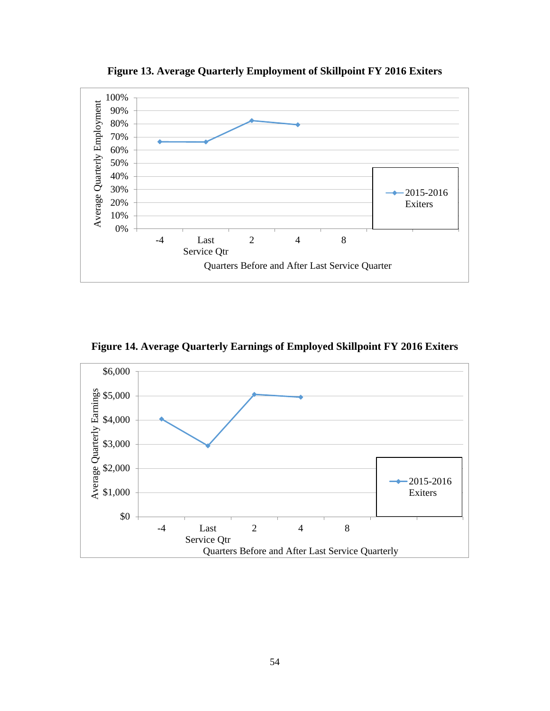

**Figure 13. Average Quarterly Employment of Skillpoint FY 2016 Exiters**



**Figure 14. Average Quarterly Earnings of Employed Skillpoint FY 2016 Exiters**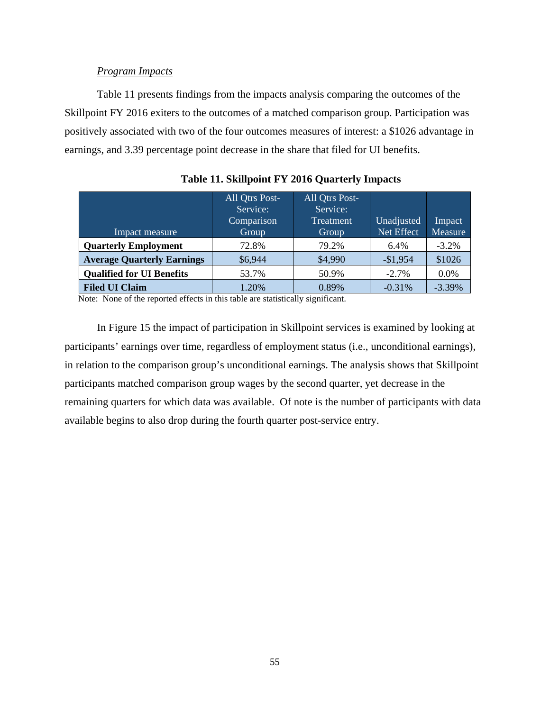# *Program Impacts*

Table 11 presents findings from the impacts analysis comparing the outcomes of the Skillpoint FY 2016 exiters to the outcomes of a matched comparison group. Participation was positively associated with two of the four outcomes measures of interest: a \$1026 advantage in earnings, and 3.39 percentage point decrease in the share that filed for UI benefits.

| Impact measure                    | All Qtrs Post-<br>Service:<br>Comparison<br>Group | All Qtrs Post-<br>Service:<br>Treatment<br>Group | Unadjusted<br>Net Effect | Impact<br>Measure |
|-----------------------------------|---------------------------------------------------|--------------------------------------------------|--------------------------|-------------------|
| <b>Quarterly Employment</b>       | 72.8%                                             | 79.2%                                            | $6.4\%$                  | $-3.2%$           |
| <b>Average Quarterly Earnings</b> | \$6,944                                           | \$4,990                                          | $-$1,954$                | \$1026            |
| <b>Qualified for UI Benefits</b>  | 53.7%                                             | 50.9%                                            | $-2.7%$                  | $0.0\%$           |
| <b>Filed UI Claim</b>             | 1.20%                                             | 0.89%                                            | $-0.31%$                 | $-3.39\%$         |

**Table 11. Skillpoint FY 2016 Quarterly Impacts**

Note: None of the reported effects in this table are statistically significant.

In Figure 15 the impact of participation in Skillpoint services is examined by looking at participants' earnings over time, regardless of employment status (i.e., unconditional earnings), in relation to the comparison group's unconditional earnings. The analysis shows that Skillpoint participants matched comparison group wages by the second quarter, yet decrease in the remaining quarters for which data was available. Of note is the number of participants with data available begins to also drop during the fourth quarter post-service entry.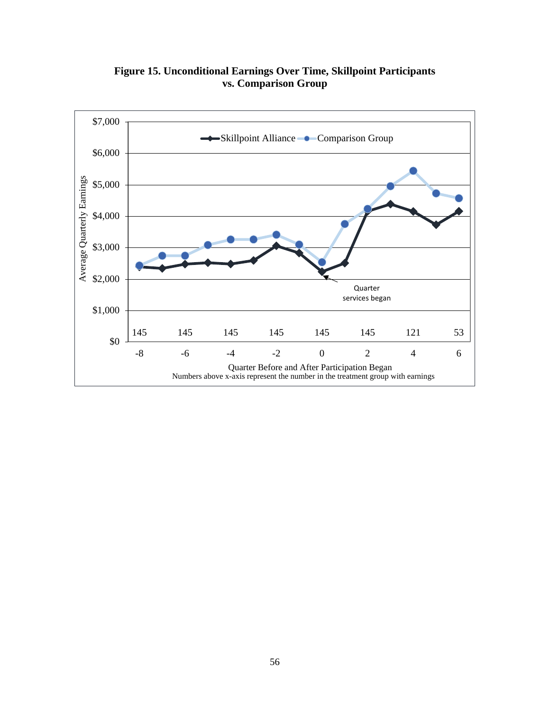

**Figure 15. Unconditional Earnings Over Time, Skillpoint Participants vs. Comparison Group**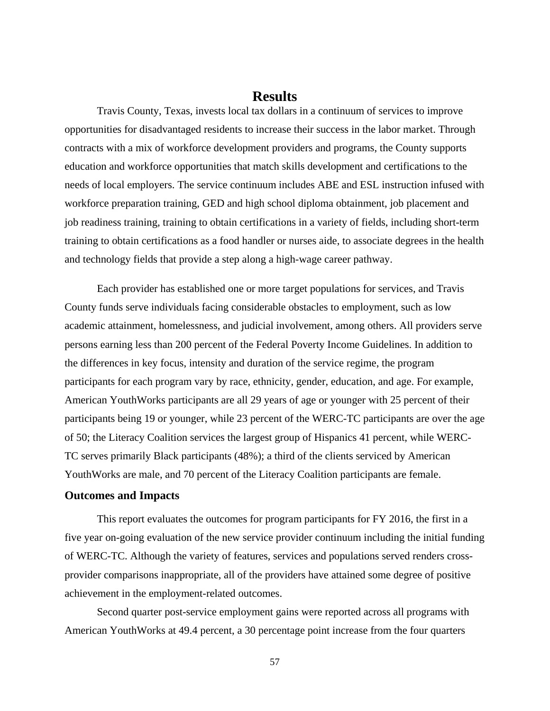# **Results**

Travis County, Texas, invests local tax dollars in a continuum of services to improve opportunities for disadvantaged residents to increase their success in the labor market. Through contracts with a mix of workforce development providers and programs, the County supports education and workforce opportunities that match skills development and certifications to the needs of local employers. The service continuum includes ABE and ESL instruction infused with workforce preparation training, GED and high school diploma obtainment, job placement and job readiness training, training to obtain certifications in a variety of fields, including short-term training to obtain certifications as a food handler or nurses aide, to associate degrees in the health and technology fields that provide a step along a high-wage career pathway.

Each provider has established one or more target populations for services, and Travis County funds serve individuals facing considerable obstacles to employment, such as low academic attainment, homelessness, and judicial involvement, among others. All providers serve persons earning less than 200 percent of the Federal Poverty Income Guidelines. In addition to the differences in key focus, intensity and duration of the service regime, the program participants for each program vary by race, ethnicity, gender, education, and age. For example, American YouthWorks participants are all 29 years of age or younger with 25 percent of their participants being 19 or younger, while 23 percent of the WERC-TC participants are over the age of 50; the Literacy Coalition services the largest group of Hispanics 41 percent, while WERC-TC serves primarily Black participants (48%); a third of the clients serviced by American YouthWorks are male, and 70 percent of the Literacy Coalition participants are female.

### **Outcomes and Impacts**

This report evaluates the outcomes for program participants for FY 2016, the first in a five year on-going evaluation of the new service provider continuum including the initial funding of WERC-TC. Although the variety of features, services and populations served renders crossprovider comparisons inappropriate, all of the providers have attained some degree of positive achievement in the employment-related outcomes.

Second quarter post-service employment gains were reported across all programs with American YouthWorks at 49.4 percent, a 30 percentage point increase from the four quarters

57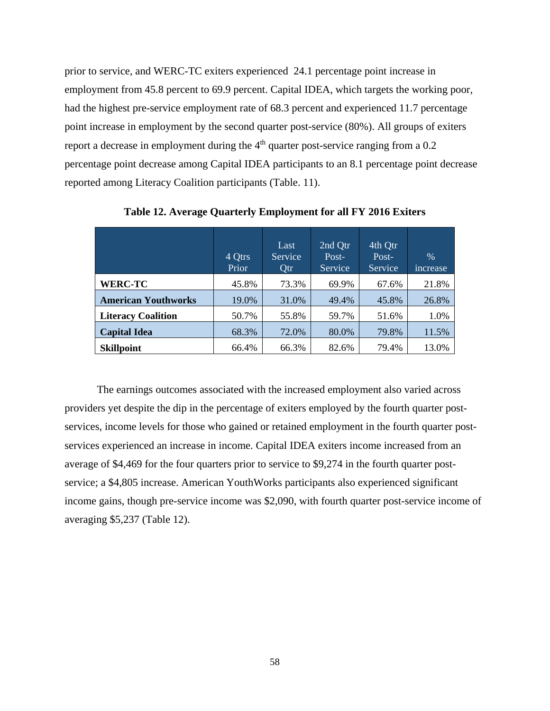prior to service, and WERC-TC exiters experienced 24.1 percentage point increase in employment from 45.8 percent to 69.9 percent. Capital IDEA, which targets the working poor, had the highest pre-service employment rate of 68.3 percent and experienced 11.7 percentage point increase in employment by the second quarter post-service (80%). All groups of exiters report a decrease in employment during the 4<sup>th</sup> quarter post-service ranging from a 0.2 percentage point decrease among Capital IDEA participants to an 8.1 percentage point decrease reported among Literacy Coalition participants (Table. 11).

|                            | 4 Otrs<br>Prior | Last<br>Service<br>Qtr | 2nd Qtr<br>$Post-$<br>Service | 4th Qtr<br>Post-<br>Service | $\%$<br>increase. |
|----------------------------|-----------------|------------------------|-------------------------------|-----------------------------|-------------------|
| <b>WERC-TC</b>             | 45.8%           | 73.3%                  | 69.9%                         | 67.6%                       | 21.8%             |
| <b>American Youthworks</b> | 19.0%           | 31.0%                  | 49.4%                         | 45.8%                       | 26.8%             |
| <b>Literacy Coalition</b>  | 50.7%           | 55.8%                  | 59.7%                         | 51.6%                       | 1.0%              |
| <b>Capital Idea</b>        | 68.3%           | 72.0%                  | 80.0%                         | 79.8%                       | 11.5%             |
| <b>Skillpoint</b>          | 66.4%           | 66.3%                  | 82.6%                         | 79.4%                       | 13.0%             |

**Table 12. Average Quarterly Employment for all FY 2016 Exiters**

The earnings outcomes associated with the increased employment also varied across providers yet despite the dip in the percentage of exiters employed by the fourth quarter postservices, income levels for those who gained or retained employment in the fourth quarter postservices experienced an increase in income. Capital IDEA exiters income increased from an average of \$4,469 for the four quarters prior to service to \$9,274 in the fourth quarter postservice; a \$4,805 increase. American YouthWorks participants also experienced significant income gains, though pre-service income was \$2,090, with fourth quarter post-service income of averaging \$5,237 (Table 12).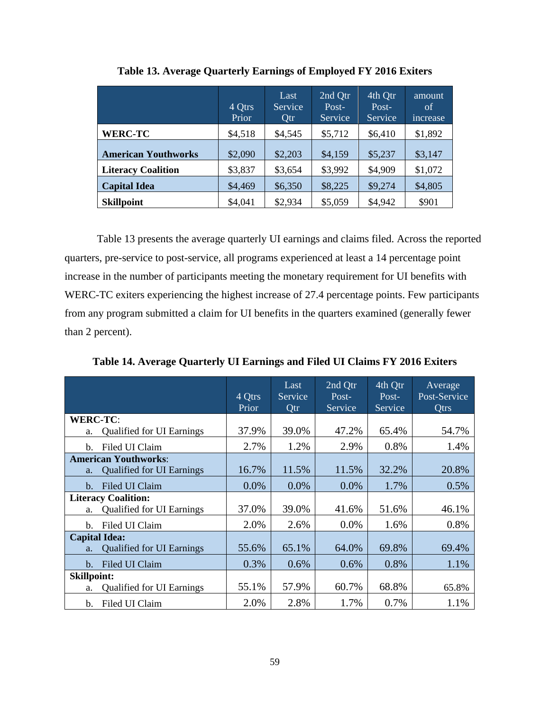|                            | 4 Qtrs<br>Prior | Last<br>Service<br>Qtr | 2nd Otr<br>Post-<br>Service | 4th Otr<br>Post-<br>Service | amount<br>of<br>increase |
|----------------------------|-----------------|------------------------|-----------------------------|-----------------------------|--------------------------|
| <b>WERC-TC</b>             | \$4,518         | \$4,545                | \$5,712                     | \$6,410                     | \$1,892                  |
| <b>American Youthworks</b> | \$2,090         | \$2,203                | \$4,159                     | \$5,237                     | \$3,147                  |
| <b>Literacy Coalition</b>  | \$3,837         | \$3,654                | \$3,992                     | \$4,909                     | \$1,072                  |
| <b>Capital Idea</b>        | \$4,469         | \$6,350                | \$8,225                     | \$9,274                     | \$4,805                  |
| <b>Skillpoint</b>          | \$4,041         | \$2,934                | \$5,059                     | \$4,942                     | \$901                    |

**Table 13. Average Quarterly Earnings of Employed FY 2016 Exiters**

Table 13 presents the average quarterly UI earnings and claims filed. Across the reported quarters, pre-service to post-service, all programs experienced at least a 14 percentage point increase in the number of participants meeting the monetary requirement for UI benefits with WERC-TC exiters experiencing the highest increase of 27.4 percentage points. Few participants from any program submitted a claim for UI benefits in the quarters examined (generally fewer than 2 percent).

**Table 14. Average Quarterly UI Earnings and Filed UI Claims FY 2016 Exiters**

|                                        | 4 Qtrs<br>Prior | Last<br>Service<br><b>Qtr</b> | 2nd Qtr<br>Post-<br>Service | 4th Qtr<br>Post-<br>Service | Average<br>Post-Service<br><b>Otrs</b> |
|----------------------------------------|-----------------|-------------------------------|-----------------------------|-----------------------------|----------------------------------------|
| <b>WERC-TC:</b>                        |                 |                               |                             |                             |                                        |
| Qualified for UI Earnings<br>a.        | 37.9%           | 39.0%                         | 47.2%                       | 65.4%                       | 54.7%                                  |
| Filed UI Claim<br>$\mathbf{b}$ .       | 2.7%            | 1.2%                          | 2.9%                        | 0.8%                        | 1.4%                                   |
| <b>American Youthworks:</b>            |                 |                               |                             |                             |                                        |
| <b>Qualified for UI Earnings</b><br>a. | 16.7%           | 11.5%                         | 11.5%                       | 32.2%                       | 20.8%                                  |
| Filed UI Claim<br>$\mathbf{b}$ .       | 0.0%            | 0.0%                          | 0.0%                        | 1.7%                        | 0.5%                                   |
| <b>Literacy Coalition:</b>             |                 |                               |                             |                             |                                        |
| <b>Qualified for UI Earnings</b><br>a. | 37.0%           | 39.0%                         | 41.6%                       | 51.6%                       | 46.1%                                  |
| Filed UI Claim<br>b.                   | 2.0%            | 2.6%                          | $0.0\%$                     | 1.6%                        | 0.8%                                   |
| <b>Capital Idea:</b>                   |                 |                               |                             |                             |                                        |
| <b>Qualified for UI Earnings</b><br>a. | 55.6%           | 65.1%                         | 64.0%                       | 69.8%                       | 69.4%                                  |
| Filed UI Claim<br>$\mathbf{b}$ .       | 0.3%            | 0.6%                          | 0.6%                        | 0.8%                        | 1.1%                                   |
| <b>Skillpoint:</b>                     |                 |                               |                             |                             |                                        |
| <b>Qualified for UI Earnings</b><br>a. | 55.1%           | 57.9%                         | 60.7%                       | 68.8%                       | 65.8%                                  |
| Filed UI Claim<br>b.                   | 2.0%            | 2.8%                          | 1.7%                        | 0.7%                        | 1.1%                                   |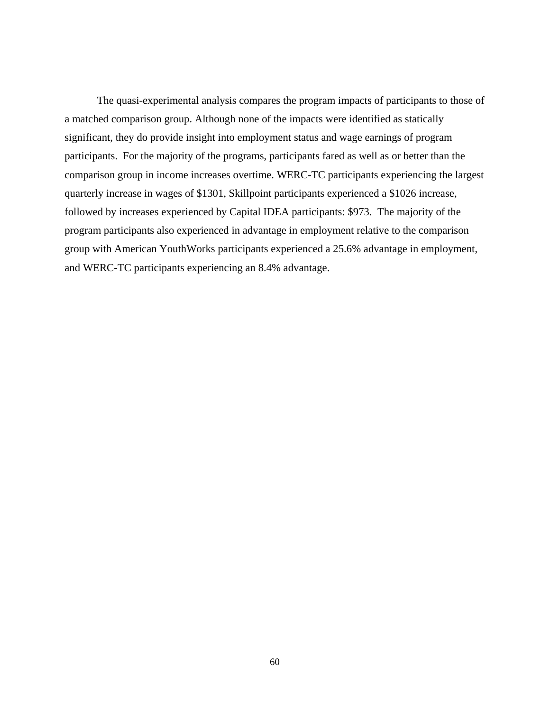The quasi-experimental analysis compares the program impacts of participants to those of a matched comparison group. Although none of the impacts were identified as statically significant, they do provide insight into employment status and wage earnings of program participants. For the majority of the programs, participants fared as well as or better than the comparison group in income increases overtime. WERC-TC participants experiencing the largest quarterly increase in wages of \$1301, Skillpoint participants experienced a \$1026 increase, followed by increases experienced by Capital IDEA participants: \$973. The majority of the program participants also experienced in advantage in employment relative to the comparison group with American YouthWorks participants experienced a 25.6% advantage in employment, and WERC-TC participants experiencing an 8.4% advantage.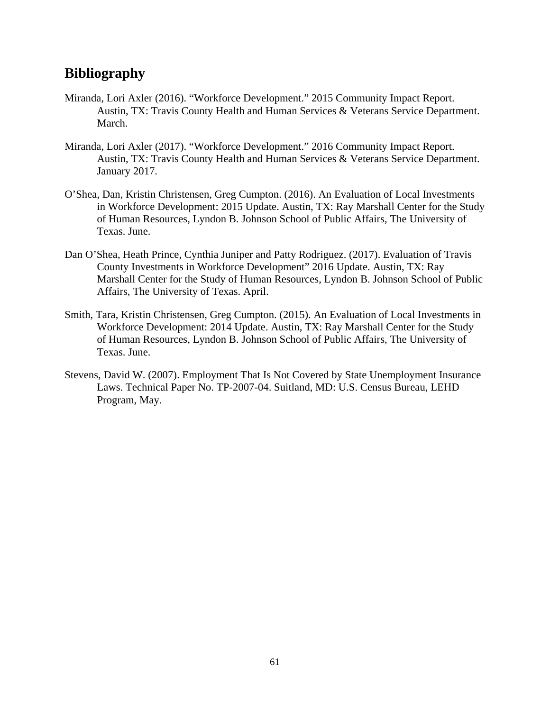# **Bibliography**

- Miranda, Lori Axler (2016). "Workforce Development." 2015 Community Impact Report. Austin, TX: Travis County Health and Human Services & Veterans Service Department. March.
- Miranda, Lori Axler (2017). "Workforce Development." 2016 Community Impact Report. Austin, TX: Travis County Health and Human Services & Veterans Service Department. January 2017.
- O'Shea, Dan, Kristin Christensen, Greg Cumpton. (2016). An Evaluation of Local Investments in Workforce Development: 2015 Update. Austin, TX: Ray Marshall Center for the Study of Human Resources, Lyndon B. Johnson School of Public Affairs, The University of Texas. June.
- Dan O'Shea, Heath Prince, Cynthia Juniper and Patty Rodriguez. (2017). Evaluation of Travis County Investments in Workforce Development" 2016 Update. Austin, TX: Ray Marshall Center for the Study of Human Resources, Lyndon B. Johnson School of Public Affairs, The University of Texas. April.
- Smith, Tara, Kristin Christensen, Greg Cumpton. (2015). An Evaluation of Local Investments in Workforce Development: 2014 Update. Austin, TX: Ray Marshall Center for the Study of Human Resources, Lyndon B. Johnson School of Public Affairs, The University of Texas. June.
- Stevens, David W. (2007). Employment That Is Not Covered by State Unemployment Insurance Laws. Technical Paper No. TP-2007-04. Suitland, MD: U.S. Census Bureau, LEHD Program, May.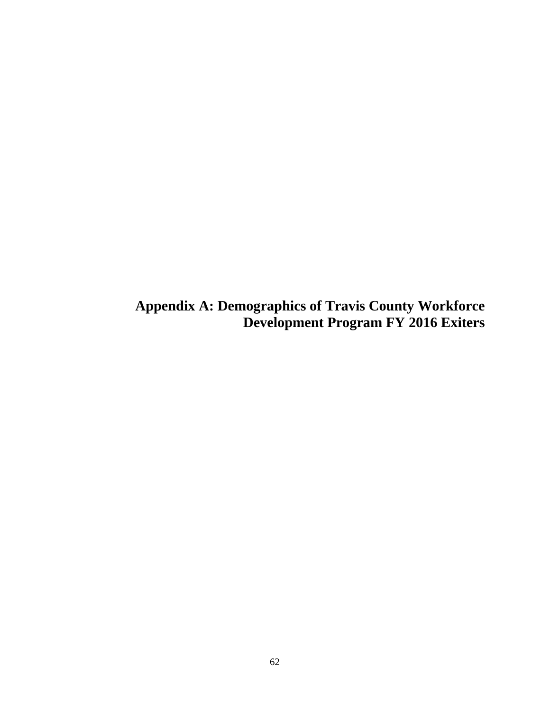**Appendix A: Demographics of Travis County Workforce Development Program FY 2016 Exiters**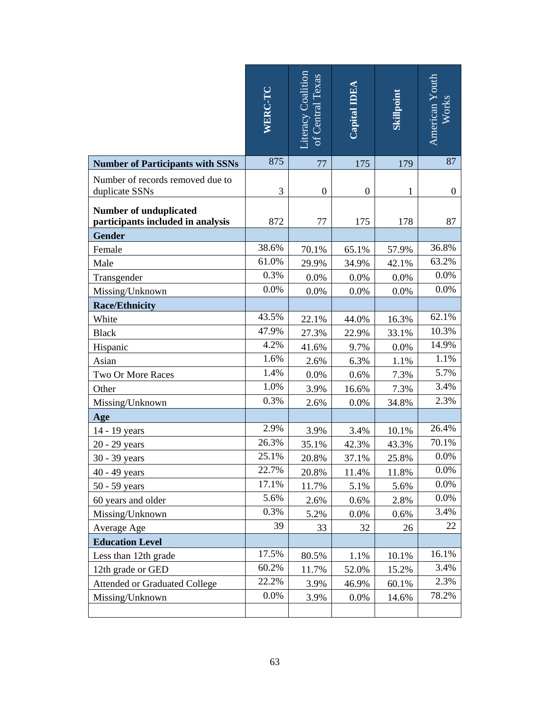|                                                                    | WERC-TC | Literacy Coalition<br>of Central Texas | Capital <b>IDEA</b> | Skillpoint   | American Youth<br>Works |
|--------------------------------------------------------------------|---------|----------------------------------------|---------------------|--------------|-------------------------|
| <b>Number of Participants with SSNs</b>                            | 875     | 77                                     | 175                 | 179          | 87                      |
| Number of records removed due to<br>duplicate SSNs                 | 3       | $\boldsymbol{0}$                       | $\overline{0}$      | $\mathbf{1}$ | $\mathbf{0}$            |
| <b>Number of unduplicated</b><br>participants included in analysis | 872     | 77                                     | 175                 | 178          | 87                      |
| <b>Gender</b>                                                      |         |                                        |                     |              |                         |
| Female                                                             | 38.6%   | 70.1%                                  | 65.1%               | 57.9%        | 36.8%                   |
| Male                                                               | 61.0%   | 29.9%                                  | 34.9%               | 42.1%        | 63.2%                   |
| Transgender                                                        | 0.3%    | 0.0%                                   | 0.0%                | $0.0\%$      | 0.0%                    |
| Missing/Unknown                                                    | 0.0%    | 0.0%                                   | 0.0%                | 0.0%         | 0.0%                    |
| <b>Race/Ethnicity</b>                                              |         |                                        |                     |              |                         |
| White                                                              | 43.5%   | 22.1%                                  | 44.0%               | 16.3%        | 62.1%                   |
| <b>Black</b>                                                       | 47.9%   | 27.3%                                  | 22.9%               | 33.1%        | 10.3%                   |
| Hispanic                                                           | 4.2%    | 41.6%                                  | 9.7%                | 0.0%         | 14.9%                   |
| Asian                                                              | 1.6%    | 2.6%                                   | 6.3%                | 1.1%         | 1.1%                    |
| Two Or More Races                                                  | 1.4%    | 0.0%                                   | 0.6%                | 7.3%         | 5.7%                    |
| Other                                                              | 1.0%    | 3.9%                                   | 16.6%               | 7.3%         | 3.4%                    |
| Missing/Unknown                                                    | 0.3%    | 2.6%                                   | 0.0%                | 34.8%        | 2.3%                    |
| Age                                                                |         |                                        |                     |              |                         |
| 14 - 19 years                                                      | 2.9%    | 3.9%                                   | 3.4%                | 10.1%        | 26.4%                   |
| 20 - 29 years                                                      | 26.3%   | 35.1%                                  | 42.3%               | 43.3%        | 70.1%                   |
| 30 - 39 years                                                      | 25.1%   | 20.8%                                  | 37.1%               | 25.8%        | 0.0%                    |
| 40 - 49 years                                                      | 22.7%   | 20.8%                                  | 11.4%               | 11.8%        | $0.0\%$                 |
| 50 - 59 years                                                      | 17.1%   | 11.7%                                  | 5.1%                | 5.6%         | $0.0\%$                 |
| 60 years and older                                                 | 5.6%    | 2.6%                                   | 0.6%                | 2.8%         | 0.0%                    |
| Missing/Unknown                                                    | 0.3%    | 5.2%                                   | $0.0\%$             | 0.6%         | 3.4%                    |
| Average Age                                                        | 39      | 33                                     | 32                  | 26           | 22                      |
| <b>Education Level</b>                                             |         |                                        |                     |              |                         |
| Less than 12th grade                                               | 17.5%   | 80.5%                                  | 1.1%                | 10.1%        | 16.1%                   |
| 12th grade or GED                                                  | 60.2%   | 11.7%                                  | 52.0%               | 15.2%        | 3.4%                    |
| <b>Attended or Graduated College</b>                               | 22.2%   | 3.9%                                   | 46.9%               | 60.1%        | 2.3%                    |
| Missing/Unknown                                                    | 0.0%    | 3.9%                                   | 0.0%                | 14.6%        | 78.2%                   |
|                                                                    |         |                                        |                     |              |                         |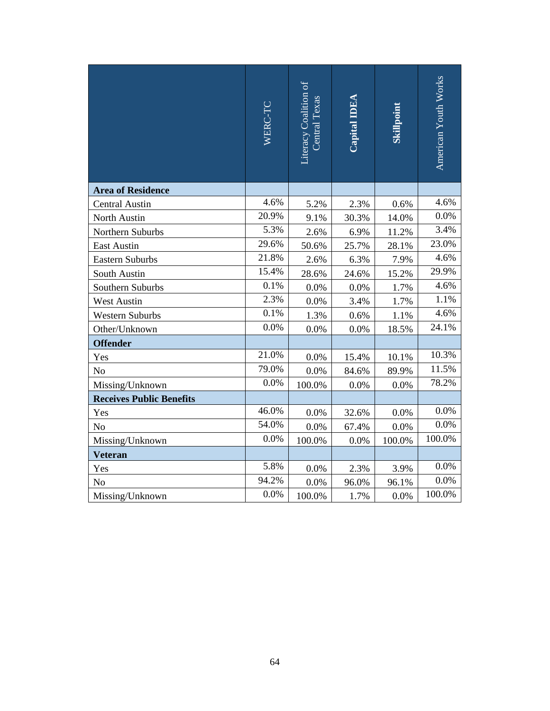|                                 | WERC-TC | Literacy Coalition of<br>Central Texas | Capital <b>IDEA</b> | Skillpoint | American Youth Works |
|---------------------------------|---------|----------------------------------------|---------------------|------------|----------------------|
| <b>Area of Residence</b>        |         |                                        |                     |            |                      |
| <b>Central Austin</b>           | 4.6%    | 5.2%                                   | 2.3%                | 0.6%       | 4.6%                 |
| North Austin                    | 20.9%   | 9.1%                                   | 30.3%               | 14.0%      | 0.0%                 |
| Northern Suburbs                | 5.3%    | 2.6%                                   | 6.9%                | 11.2%      | 3.4%                 |
| <b>East Austin</b>              | 29.6%   | 50.6%                                  | 25.7%               | 28.1%      | 23.0%                |
| <b>Eastern Suburbs</b>          | 21.8%   | 2.6%                                   | 6.3%                | 7.9%       | 4.6%                 |
| South Austin                    | 15.4%   | 28.6%                                  | 24.6%               | 15.2%      | 29.9%                |
| Southern Suburbs                | 0.1%    | 0.0%                                   | $0.0\%$             | 1.7%       | 4.6%                 |
| <b>West Austin</b>              | 2.3%    | 0.0%                                   | 3.4%                | 1.7%       | 1.1%                 |
| <b>Western Suburbs</b>          | 0.1%    | 1.3%                                   | 0.6%                | 1.1%       | 4.6%                 |
| Other/Unknown                   | 0.0%    | 0.0%                                   | 0.0%                | 18.5%      | 24.1%                |
| <b>Offender</b>                 |         |                                        |                     |            |                      |
| Yes                             | 21.0%   | 0.0%                                   | 15.4%               | 10.1%      | 10.3%                |
| N <sub>o</sub>                  | 79.0%   | 0.0%                                   | 84.6%               | 89.9%      | 11.5%                |
| Missing/Unknown                 | 0.0%    | 100.0%                                 | 0.0%                | 0.0%       | 78.2%                |
| <b>Receives Public Benefits</b> |         |                                        |                     |            |                      |
| Yes                             | 46.0%   | 0.0%                                   | 32.6%               | 0.0%       | 0.0%                 |
| N <sub>o</sub>                  | 54.0%   | 0.0%                                   | 67.4%               | 0.0%       | 0.0%                 |
| Missing/Unknown                 | 0.0%    | 100.0%                                 | 0.0%                | 100.0%     | 100.0%               |
| <b>Veteran</b>                  |         |                                        |                     |            |                      |
| Yes                             | 5.8%    | 0.0%                                   | 2.3%                | 3.9%       | 0.0%                 |
| No                              | 94.2%   | 0.0%                                   | 96.0%               | 96.1%      | 0.0%                 |
| Missing/Unknown                 | 0.0%    | 100.0%                                 | 1.7%                | 0.0%       | 100.0%               |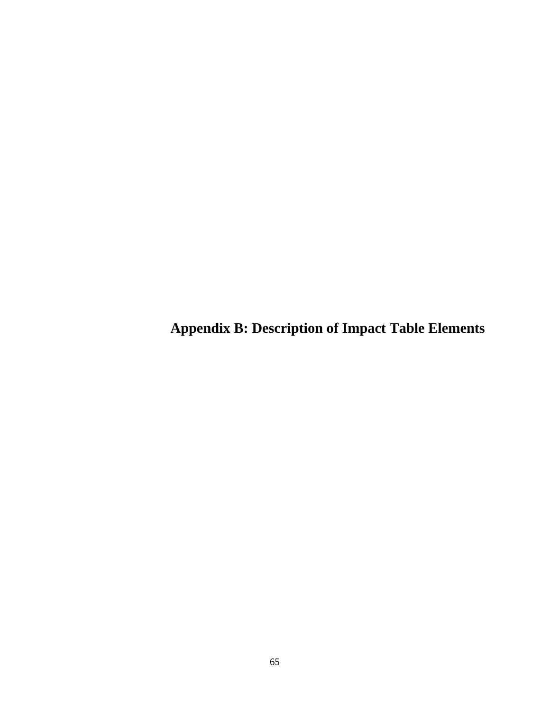**Appendix B: Description of Impact Table Elements**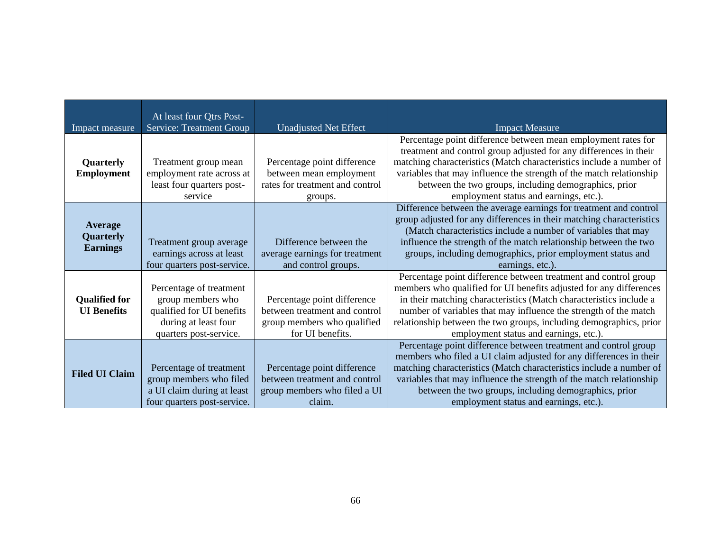| Impact measure                             | At least four Qtrs Post-<br>Service: Treatment Group                                                                        | <b>Unadjusted Net Effect</b>                                                                                    | <b>Impact Measure</b>                                                                                                                                                                                                                                                                                                                                                                           |
|--------------------------------------------|-----------------------------------------------------------------------------------------------------------------------------|-----------------------------------------------------------------------------------------------------------------|-------------------------------------------------------------------------------------------------------------------------------------------------------------------------------------------------------------------------------------------------------------------------------------------------------------------------------------------------------------------------------------------------|
| Quarterly<br><b>Employment</b>             | Treatment group mean<br>employment rate across at<br>least four quarters post-<br>service                                   | Percentage point difference<br>between mean employment<br>rates for treatment and control<br>groups.            | Percentage point difference between mean employment rates for<br>treatment and control group adjusted for any differences in their<br>matching characteristics (Match characteristics include a number of<br>variables that may influence the strength of the match relationship<br>between the two groups, including demographics, prior<br>employment status and earnings, etc.).             |
| Average<br>Quarterly<br><b>Earnings</b>    | Treatment group average<br>earnings across at least<br>four quarters post-service.                                          | Difference between the<br>average earnings for treatment<br>and control groups.                                 | Difference between the average earnings for treatment and control<br>group adjusted for any differences in their matching characteristics<br>(Match characteristics include a number of variables that may<br>influence the strength of the match relationship between the two<br>groups, including demographics, prior employment status and<br>earnings, etc.).                               |
| <b>Qualified for</b><br><b>UI</b> Benefits | Percentage of treatment<br>group members who<br>qualified for UI benefits<br>during at least four<br>quarters post-service. | Percentage point difference<br>between treatment and control<br>group members who qualified<br>for UI benefits. | Percentage point difference between treatment and control group<br>members who qualified for UI benefits adjusted for any differences<br>in their matching characteristics (Match characteristics include a<br>number of variables that may influence the strength of the match<br>relationship between the two groups, including demographics, prior<br>employment status and earnings, etc.). |
| <b>Filed UI Claim</b>                      | Percentage of treatment<br>group members who filed<br>a UI claim during at least<br>four quarters post-service.             | Percentage point difference<br>between treatment and control<br>group members who filed a UI<br>claim.          | Percentage point difference between treatment and control group<br>members who filed a UI claim adjusted for any differences in their<br>matching characteristics (Match characteristics include a number of<br>variables that may influence the strength of the match relationship<br>between the two groups, including demographics, prior<br>employment status and earnings, etc.).          |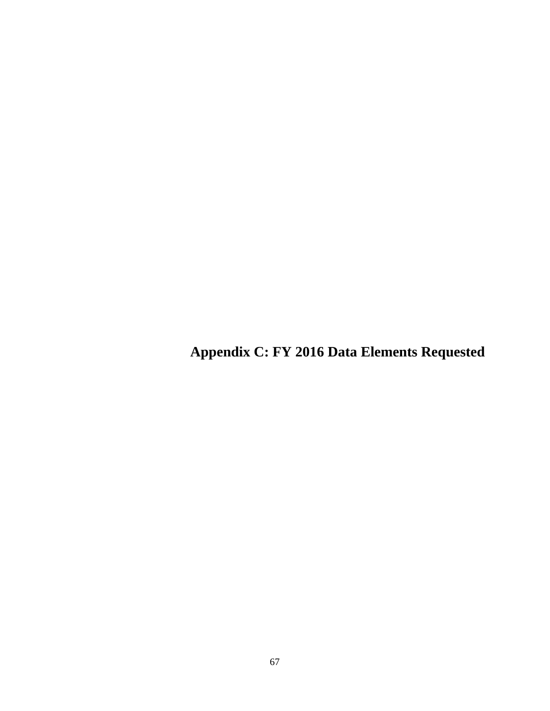**Appendix C: FY 2016 Data Elements Requested**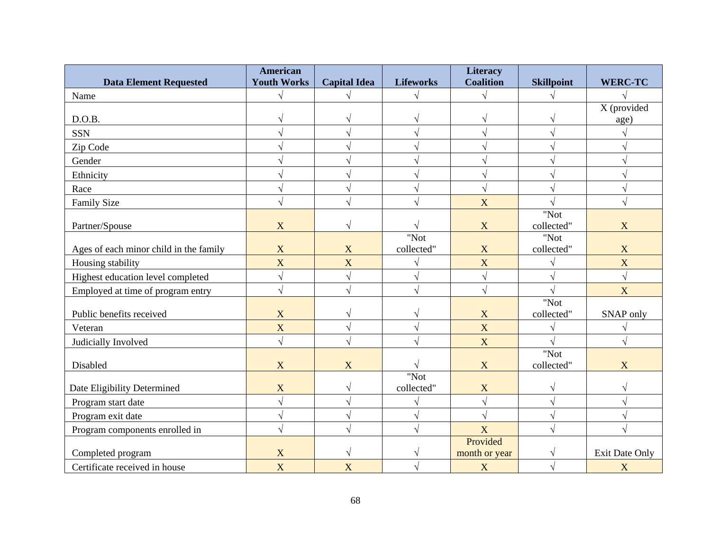|                                        | <b>American</b>         |                     |                  | <b>Literacy</b>  |                   |                |
|----------------------------------------|-------------------------|---------------------|------------------|------------------|-------------------|----------------|
| <b>Data Element Requested</b>          | <b>Youth Works</b>      | <b>Capital Idea</b> | <b>Lifeworks</b> | <b>Coalition</b> | <b>Skillpoint</b> | <b>WERC-TC</b> |
| Name                                   |                         | $\sqrt{ }$          |                  | $\sqrt{}$        |                   |                |
|                                        |                         |                     |                  |                  |                   | X (provided    |
| D.O.B.                                 |                         |                     |                  | V                |                   | age)           |
| <b>SSN</b>                             |                         |                     |                  | V                |                   |                |
| Zip Code                               |                         |                     |                  | $\mathcal{L}$    |                   |                |
| Gender                                 |                         |                     |                  |                  |                   |                |
| Ethnicity                              |                         |                     |                  | $\sqrt{}$        |                   |                |
| Race                                   |                         | V                   |                  | $\sqrt{2}$       |                   |                |
| Family Size                            |                         | $\sqrt{2}$          |                  | $\mathbf X$      |                   | $\sqrt{ }$     |
|                                        |                         |                     |                  |                  | "Not              |                |
| Partner/Spouse                         | $\mathbf X$             | $\sqrt{ }$          |                  | $\mathbf X$      | collected"        | $\mathbf X$    |
|                                        |                         |                     | "Not             |                  | "Not              |                |
| Ages of each minor child in the family | $\mathbf X$             | X                   | collected"       | $\mathbf X$      | collected"        | $\mathbf X$    |
| Housing stability                      | X                       | $\mathbf X$         |                  | $\mathbf X$      |                   | $\mathbf X$    |
| Highest education level completed      | $\sqrt{}$               | $\sqrt{}$           |                  | $\sqrt{}$        |                   | $\sqrt{ }$     |
| Employed at time of program entry      |                         |                     |                  | $\sqrt{2}$       |                   | $\mathbf X$    |
|                                        |                         |                     |                  |                  | "Not              |                |
| Public benefits received               | X                       |                     |                  | $\mathbf X$      | collected"        | SNAP only      |
| Veteran                                | $\overline{\mathbf{X}}$ | $\sqrt{}$           |                  | $\mathbf X$      |                   |                |
| Judicially Involved                    | $\sqrt{ }$              |                     |                  | X                |                   | $\sqrt{ }$     |
|                                        |                         |                     |                  |                  | "Not              |                |
| Disabled                               | X                       | X                   |                  | $\mathbf X$      | collected"        | X              |
|                                        |                         |                     | "Not             |                  |                   |                |
| Date Eligibility Determined            | X                       | V                   | collected"       | X                |                   |                |
| Program start date                     | $\sqrt{}$               | V                   |                  | $\sqrt{}$        |                   | $\sqrt{}$      |
| Program exit date                      |                         | V                   | $\sqrt{}$        | $\sqrt{2}$       |                   |                |
| Program components enrolled in         |                         |                     |                  | $\mathbf X$      |                   |                |
|                                        |                         |                     |                  | Provided         |                   |                |
| Completed program                      | $\mathbf X$             | $\sqrt{}$           | V                | month or year    |                   | Exit Date Only |
| Certificate received in house          | $\mathbf X$             | $\mathbf X$         |                  | $\mathbf X$      |                   | $\mathbf X$    |